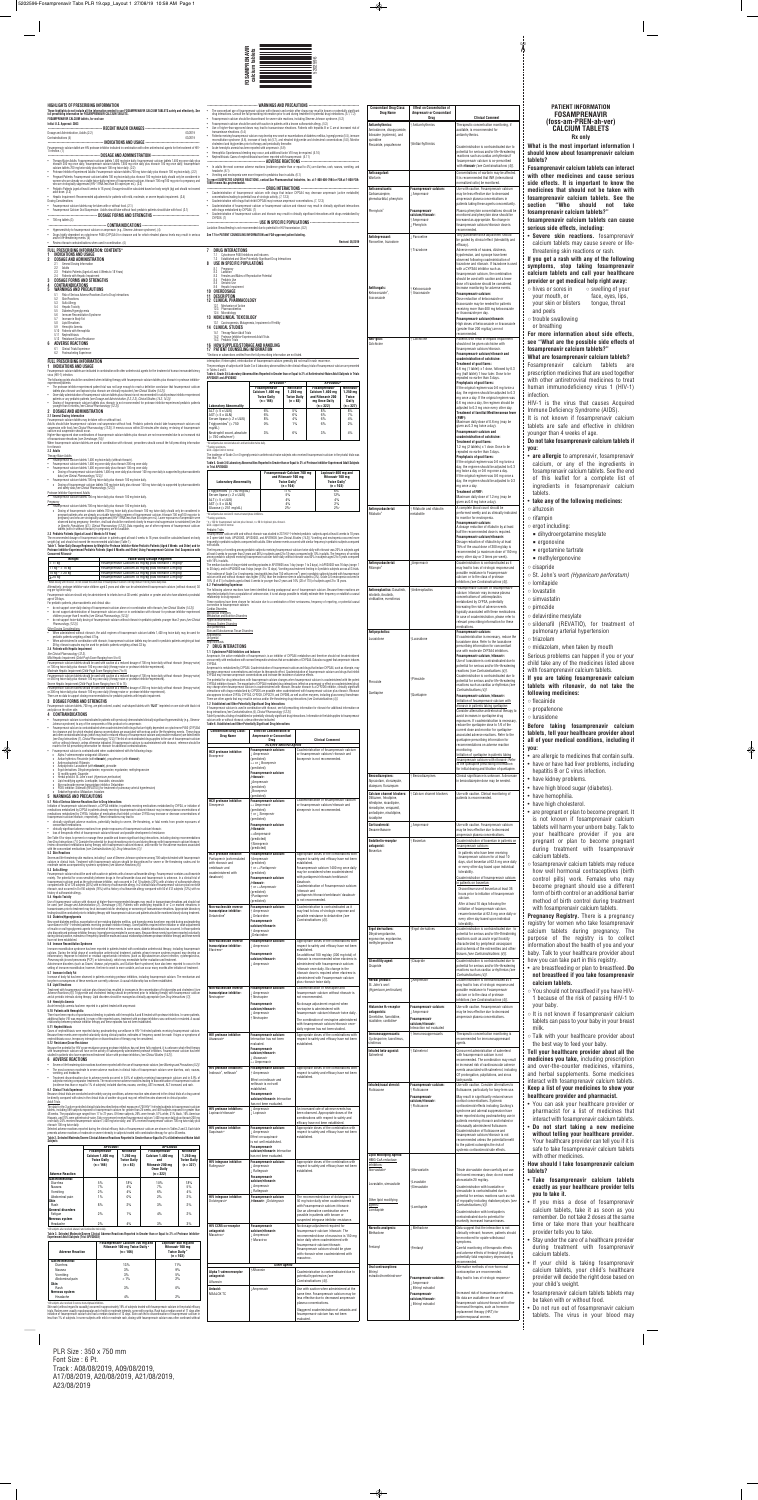# **PATIENT INFORMATION FOSAMPRENAVIR (foss-am-PREN-ah-ver) CALCIUM TABLETS Rx only**

 $\chi$ 

**What is the most important information I should know about fosamprenavir calcium**

**Fosamprenavir calcium tablets can interact with other medicines and cause serious side effects. It is important to know the medicines that should not be taken with fosamprenavir calcium tablets. See the section "Who should not take fosamprenavir calcium tablets?"**

**skin reactions.** fosamprenavir tablets may cause severe or lifening skin reactions or rash.

*<b>information about side effects,* **see "What are the possible side effects of fosamprenavir calcium tablets?"**

**If you get a rash with any of the following symptoms, stop taking fosamprenavir calcium tablets and call your healthcare provider or get medical help right away:**

• **are allergic** to amprenavir, fosamprenavir n, or any of the ingredients in prenavir calcium tablets. See the end leaflet for a complete list of ents in fosamprenavir calcium

**Pregnancy Registry.** There is a pregnancy or women who take fosamprenavir tablets during pregnancy. The of the registry is to collect on about the health of you and your Ik to your healthcare provider about can take part in this registry.

♦

tin. tatin de dine mesylate fil (REVATIO), for treatment of nary arterial hypertension  $m$ lam, when taken by mouth oroblems can happen if you or your any of the medicines listed above mprenavir calcium tablets. **If you are taking fosamprenavir calcium tablets with ritonavir, do not take the following medicines:** de enone one **Before taking fosamprenavir calcium tablets, tell your healthcare provider about all of your medical conditions, including if** rgic to medicines that contain sulfa. have had liver problems, including is B or C virus infection. idney problems. igh blood sugar (diabetes). emophilia. gh cholesterol.

◈

gnant or plan to become pregnant. It known if fosamprenavir calcium will harm your unborn baby. Talk to healthcare provider if you are nt or plan to become pregnant treatment with fosamprenavir n tablets.

orenavir calcium tablets may reduce ell hormonal contraceptives (birth pills) work. Females who may e pregnant should use a different f birth control or an additional barrier d of birth control during treatment samprenavir calcium tablets.

• are breastfeeding or plan to breastfeed. **Do ndebase** *h* **howa take fosamprenavir calcium tablets.**

ould not breastfeed if you have HIVuse of the risk of passing HIV-1 to aby.

ot known if fosamprenavir calcium can pass to your baby in your breast

# **healthcare provider and pharmacist.**

- You can ask your healthcare provider or pharmacist for a list of medicines that interact with fosamprenavir calcium tablets.
- **Do not start taking a new medicine without telling your healthcare provider.** Your healthcare provider can tell you if it is safe to take fosamprenavir calcium tablets with other medicines.

**How should I take fosamprenavir calcium tablets?**

• **Take fosamprenavir calcium tablets exactly as your healthcare provider tells you to take it.**

• If you miss a dose of fosamprenavir calcium tablets, take it as soon as you remember. Do not take 2 doses at the same time or take more than your healthcare provider tells you to take.

• Stay under the care of a healthcare provider during treatment with fosamprenavir calcium tablets.

- If your child is taking fosamprenavir calcium tablets, your child's healthcare provider will decide the right dose based on your child's weight.
- fosamprenavir calcium tablets tablets may be taken with or without food.
- Do not run out of fosamprenavir calcium tablets. The virus in your blood may

PLR Size : 350 x 750 mm Font Size : 6 Pt. Track : A08/08/2019, A09/08/2019, A17/08/2019, A20/08/2019, A21/08/2019, A23/08/2019

Staggered coadministration of antacids and samprenavir calcium has not been



 $\bigcirc$ 

Alternative methods of non-hormonal ontraception are recommended. May lead to loss of virologic response.<sup>8</sup> **Fosamprenavir calcium/ritonavir:** May result in significantly reduced serum cortisol concentrations. Systemic corticosteroid effects including Cushing's syndrome and adrenal suppression have been reported during postmarketing use in patients receiving ritonavir and inhaled or intranasally administered fluticasone. Coadministration of fluticasone and fosamprenavir calcium/ritonavir is not recommended unless the potential benefit to the patient outweighs the risk of systemic corticosteroid side effects. Titrate atorvastatin dose carefully and use the lowest necessary dose; do not exceed torvastatin 20 mg/day. Coadministration with lovastatin or simvastatin is contraindicated due to potential for serious reactions such as risk of myopathy including rhabdomyolysis *[see Contraindications (4)]*. Coadministration with lomitapide is contraindicated due to potential for markedly increased transaminases. Data suggest that the interaction is not clinically relevant; however, patients should be monitored for opiate withdrawal symptoms. Careful monitoring of therapeutic effects and adverse effects of fentanyl (including potentially fatal respiratory depression) is commended.

| be directly compared with rates in the clinical trials of another drug and may not reflect the rates observed in clinical practice. |  |
|-------------------------------------------------------------------------------------------------------------------------------------|--|
| Adult Triolo                                                                                                                        |  |

Adult Irails<br>The data for the 3 active-controlled clinical trials described below reflect exposure of 700 HIV-1-infected subjects to fosamprenavir calcium<br>tablets, including 599 subjects exposed to fosamprenavir calcium fo

Selected adverse reactions reported during the clinical efficacy trials of fosamprenavir calcium are shown in Tables 2 and 3. Each table<br>presents adverse reactions of moderate or severe intensity in subjects treated with c Table 2. Selected Moderate/Severe Clinical Adverse Reactions Reported in Greater than or Equal to 2% of Antiretroviral-Naive Adult

| HIGHLIGHTS OF PRESCRIBING INFORMATION<br>These highlights do not include all the information needed to use FOSAMPRENAVIR CALCIUM TABLETS safely and effectively. See                                                                                                                                                                                                                                                                  |                                                                                                                                                                                                             |                                                                                                                                                                                                                                                                                                                                                                     |                                  | The concomitant use of fosamprenavir calcium with ritonavir and certain other drugs may result in known or potentially significant                                                                                                                                                                                                                                                                                                             | <b>Concomitant Drug Class:</b><br><b>Drug Name</b>                                     | <b>Effect on Concentration of</b><br><b>Amprenavir or Concomitant</b> |                                                                                                                                             | <b>PATIENT INFORMATION</b><br><b>FOSAMPRENAVIR</b>                                           |
|---------------------------------------------------------------------------------------------------------------------------------------------------------------------------------------------------------------------------------------------------------------------------------------------------------------------------------------------------------------------------------------------------------------------------------------|-------------------------------------------------------------------------------------------------------------------------------------------------------------------------------------------------------------|---------------------------------------------------------------------------------------------------------------------------------------------------------------------------------------------------------------------------------------------------------------------------------------------------------------------------------------------------------------------|----------------------------------|------------------------------------------------------------------------------------------------------------------------------------------------------------------------------------------------------------------------------------------------------------------------------------------------------------------------------------------------------------------------------------------------------------------------------------------------|----------------------------------------------------------------------------------------|-----------------------------------------------------------------------|---------------------------------------------------------------------------------------------------------------------------------------------|----------------------------------------------------------------------------------------------|
| full prescribing information for FOSAMPRENAVIR CALCIUM TABLETS.<br><b>FOSAMPRENAVIR CALCIUM tablets, for oral use</b><br>Initial U.S. Approval: 2003                                                                                                                                                                                                                                                                                  |                                                                                                                                                                                                             | drug interactions. Consult the full prescribing information prior to and during treatment for potential drug interactions. (5.1, 7.2)<br>Fosamprenavir calcium should be discontinued for severe skin reactions, including Stevens-Johnson syndrome, (5.2)<br>Fosamprenavir calcium should be used with caution in patients with a known sulfonamide allergy. (5.3) |                                  |                                                                                                                                                                                                                                                                                                                                                                                                                                                | Antiarrhythmics:                                                                       | Drug<br>Antiarrhythmics                                               | <b>Clinical Comment</b><br>Therapeutic concentration monitoring, if                                                                         | (foss-am-PREN-ah-ver)                                                                        |
| <b>RECENT MAJOR CHANGES</b><br>03/2019<br>Dosage and Administration, Adults (2.2)<br>03/2019<br>Contraindications (4)                                                                                                                                                                                                                                                                                                                 | transaminase elevations. (5.4)                                                                                                                                                                              |                                                                                                                                                                                                                                                                                                                                                                     |                                  | Use of higher-than-approved doses may lead to transaminase elevations. Patients with hepatitis B or C are at increased risk of<br>Patients receiving fosamprenavir calcium may develop new onset or exacerbations of diabetes mellitus, hyperglycemia (5.5), immune<br>reconstitution syndrome (5.6), increase of body fat (5.7), and elevated triglyceride and cho                                                                            | Amiodarone, disopyramide<br>lidocaine (systemic), and                                  |                                                                       | available, is recommended for<br>antiarrhythmics.                                                                                           | <b>CALCIUM TABLETS</b><br><b>Rx</b> only                                                     |
| - INDICATIONS AND USAGE -<br>Fosamprenavir calcium tablet are HIV protease inhibitor indicated in combination with other antiretroviral agents for the treatment of HIV-                                                                                                                                                                                                                                                              |                                                                                                                                                                                                             | cholesterol and triglycerides prior to therapy and periodically thereafter.<br>Acute hemolytic anemia has been reported with amprenavir. (5.9)                                                                                                                                                                                                                      |                                  |                                                                                                                                                                                                                                                                                                                                                                                                                                                | quinidine<br>Flecainide, propafenone                                                   | ↑Antiarrhythmics                                                      | Coadministration is contraindicated due to                                                                                                  | What is the most important information                                                       |
| 1 infection. (1)<br>- Dosage and administration<br>. Therapy-Naive Adults: Fosamprenavir calcium tablets 1,400 mg twice daily; fosamprenavir calcium tablets 1,400 mg once daily plus                                                                                                                                                                                                                                                 |                                                                                                                                                                                                             | Hemophilia: Spontaneous bleeding may occur, and additional factor VIII may be required. (5.10)<br>Nephrolithiasis: Cases of nephrolithiasis have been reported with fosamprenavir. (5.11)<br>-- Adverse reactions                                                                                                                                                   |                                  |                                                                                                                                                                                                                                                                                                                                                                                                                                                |                                                                                        |                                                                       | potential for serious and/or life-threatening<br>reactions such as cardiac arrhythmias if<br>fosamprenavir calcium is co-prescribed         | should know about fosamprenavir calciu<br>tablets?                                           |
| ritonavir 200 mg once daily; fosamprenavir calcium tablets 1,400 mg once daily plus ritonavir 100 mg once daily; fosamprenavir<br>calcium tablets 700 mg twice daily plus ritonavir 100 mg twice daily. (2.2)<br>. Protease Inhibitor-Experienced Adults: Fosamprenavir calcium tablets 700 mg twice daily plus ritonavir 100 mg twice daily. (2.2)                                                                                   | headache. (6.1)                                                                                                                                                                                             |                                                                                                                                                                                                                                                                                                                                                                     |                                  | In adults the most common adverse reactions (incidence greater than or equal to 4%) are diarrhea, rash, nausea, vomiting, and                                                                                                                                                                                                                                                                                                                  | Anticoagulant:                                                                         |                                                                       | with ritonavir [see Contraindications (4)].<br>Concentrations of warfarin may be affected.                                                  | Fosamprenavir calcium tablets can intera                                                     |
| · Pregnant Patients: Fosamprenavir calcium tablets 700 mg twice daily plus ritonavir 100 mg twice daily should only be considered in<br>women who are already on a stable twice-daily regimen of fosamprenavir calcium /ritonavir<br>who are virologically suppressed (HIV-1 RNA less than 50 copies per mL). (2.2)                                                                                                                   | 1088 or www.fda.gov/medwatch.                                                                                                                                                                               | Vomiting and neutropenia were more frequent in pediatrics than in adults. (6.1)                                                                                                                                                                                                                                                                                     |                                  | To report SUSPECTED ADVERSE REACTIONS, contact Sun Pharmaceutical Industries, Inc. at 1-800-406-7984 or FDA at 1-800-FDA-                                                                                                                                                                                                                                                                                                                      | Warfarin                                                                               |                                                                       | It is recommended that INR (international<br>normalized ratio) be monitored.                                                                | with other medicines and cause serior<br>side effects. It is important to know the           |
| • Pediatric Patients (aged at least 4 weeks to 18 years): Dosage should be calculated based on body weight (kg) and should not exceed<br>adult dose. (2.3)<br>• Hepatic Impairment: Recommended adjustments for patients with mild, moderate, or severe hepatic impairment. (2.4)                                                                                                                                                     |                                                                                                                                                                                                             | --- DRUG INTERACTIONS -<br>concentrations leading to potential loss of virologic activity. (7, 12.3)                                                                                                                                                                                                                                                                |                                  | Coadministration of fosamprenavir calcium with drugs that induce CYP3A4 may decrease amprenavir (active metabolite)                                                                                                                                                                                                                                                                                                                            | Anticonvulsants:<br>Carbamazepine.                                                     | Fosamprenavir calcium:<br>⊥ Amprenavir                                | Use with caution. Fosamprenavir calcium<br>may be less effective due to decreased                                                           | medicines that should not be taken wi                                                        |
| <b>Dosing Considerations</b><br>• Fosamprenavir calcium tablets may be taken with or without food. (2.1)                                                                                                                                                                                                                                                                                                                              |                                                                                                                                                                                                             | Coadministration with drugs that inhibit CYP3A4 may increase amprenavir concentrations. (7, 12.3)                                                                                                                                                                                                                                                                   |                                  | • Coadministration of fosamprenavir calcium or fosamprenavir calcium and ritonavir may result in clinically significant interactions                                                                                                                                                                                                                                                                                                           | phenobarbital, phenytoin                                                               |                                                                       | amprenavir plasma concentrations in<br>patients taking these agents concomitantly                                                           | fosamprenavir calcium tablets. See th<br>"Who<br>should<br>not tal<br>section                |
| . Fosamprenavir Calcium Oral Suspension: Adults should take without food; pediatric patients should take with food. (2.1)<br>--------- Dosage forms and strengths -<br>$\bullet$ 700 mg tablets (3)                                                                                                                                                                                                                                   | with drugs metabolized by CYP3A4. (7)<br>CYP2D6. (7)                                                                                                                                                        |                                                                                                                                                                                                                                                                                                                                                                     |                                  | Coadministration of fosamprenavir calcium and ritonavir may result in clinically significant interactions with drugs metabolized by                                                                                                                                                                                                                                                                                                            | Phenytoin <sup>a</sup>                                                                 | Fosamprenavir<br>calcium/ritonavir:<br>↑ Amprenavir                   | Plasma phenytoin concentrations should be<br>monitored and phenytoin dose should be<br>increased as appropriate. No change in               | fosamprenavir calcium tablets?"                                                              |
| --- CONTRAINDICATIONS ·<br>• Hypersensitivity to fosamprenavir calcium or amprenavir (e.g., Stevens-Johnson syndrome). (4)                                                                                                                                                                                                                                                                                                            |                                                                                                                                                                                                             | -- USE IN SPECIFIC POPULATIONS<br>Lactation: Breastfeeding is not recommended due to potential for HIV transmission. (8.2)                                                                                                                                                                                                                                          |                                  |                                                                                                                                                                                                                                                                                                                                                                                                                                                |                                                                                        | ↓ Phenytoin                                                           | fosamprenavir calcium/ritonavir dose is<br>recommended.                                                                                     | fosamprenavir calcium tablets can caus<br>serious side effects, including:                   |
| . Drugs highly dependent on cytochrome P450 (CYP)3A4 for clearance and for which elevated plasma levels may result in serious<br>and/or life-threatening events. (4)<br>• Review ritonavir contraindications when used in combination. (4)                                                                                                                                                                                            |                                                                                                                                                                                                             | See 17 for PATIENT COUNSELING INFORMATION and FDA-approved patient labeling                                                                                                                                                                                                                                                                                         |                                  | <b>Revised: 05/2019</b>                                                                                                                                                                                                                                                                                                                                                                                                                        | Antidepressant:<br>Paroxetine, trazodone                                               | L Paroxetine                                                          | Any paroxetine dose adjustment should<br>be guided by clinical effect (tolerability and                                                     | • Severe skin reactions. fosamprenav                                                         |
| FULL PRESCRIBING INFORMATION: CONTENTS*<br>INDICATIONS AND USAGE                                                                                                                                                                                                                                                                                                                                                                      | 7 DRUG INTERACTIONS                                                                                                                                                                                         |                                                                                                                                                                                                                                                                                                                                                                     |                                  |                                                                                                                                                                                                                                                                                                                                                                                                                                                |                                                                                        | ↑ Trazodone                                                           | efficacy).<br>Adverse events of nausea, dizziness.<br>hypotension, and syncope have been                                                    | calcium tablets may cause severe or lif<br>threatening skin reactions or rash.               |
| DOSAGE AND ADMINISTRATION<br>2.1<br>General Dosing Information                                                                                                                                                                                                                                                                                                                                                                        | Cytochrome P450 Inhibitors and Inducers<br>7.2<br>USE IN SPECIFIC POPULATIONS                                                                                                                               | Established and Other Potentially Significant Drug Interactions                                                                                                                                                                                                                                                                                                     |                                  |                                                                                                                                                                                                                                                                                                                                                                                                                                                |                                                                                        |                                                                       | observed following coadministration of<br>trazodone and ritonavir. If trazodone is used                                                     | If you get a rash with any of the following                                                  |
| 2.2<br>Adults<br>2.3 Pediatric Patients (Aged at Least 4 Weeks to 18 Years)<br>2.4 Patients with Hepatic Impairment                                                                                                                                                                                                                                                                                                                   | 8.1<br>Pregnancy<br>8.2 Lactation<br>Females and Males of Reproductive Potential<br>8.3                                                                                                                     |                                                                                                                                                                                                                                                                                                                                                                     |                                  |                                                                                                                                                                                                                                                                                                                                                                                                                                                |                                                                                        |                                                                       | with a CYP3A4 inhibitor such as<br>fosamprenavir calcium, the combination                                                                   | symptoms, stop taking fosamprenay<br>calcium tablets and call your healthca                  |
| <b>DOSAGE FORMS AND STRENGTHS</b><br><b>CONTRAINDICATIONS</b>                                                                                                                                                                                                                                                                                                                                                                         | 8.4<br>Pediatric Use<br>8.5<br>Geriatric Use<br>8.6 Hepatic Impairment                                                                                                                                      |                                                                                                                                                                                                                                                                                                                                                                     |                                  |                                                                                                                                                                                                                                                                                                                                                                                                                                                |                                                                                        |                                                                       | should be used with caution and a lower<br>dose of trazodone should be considered.                                                          | provider or get medical help right away:                                                     |
| <b>WARNINGS AND PRECAUTIONS</b><br>Risk of Serious Adverse Reactions Due to Drug Interactions<br>5.1<br>5.2<br><b>Skin Reactions</b>                                                                                                                                                                                                                                                                                                  | 10 OVERDOSAGE<br>11 DESCRIPTION                                                                                                                                                                             |                                                                                                                                                                                                                                                                                                                                                                     |                                  |                                                                                                                                                                                                                                                                                                                                                                                                                                                | Antifungals:<br>Ketoconazole®<br>itraconazole                                          | ↑ Ketoconazole<br>t Itraconazole                                      | Increase monitoring for adverse events.<br>Fosamprenavir calcium:<br>Dose reduction of ketoconazole or                                      | $\circ$ hives or sores in<br>$\circ$ swelling of your<br>your mouth, or<br>face, eyes, lips, |
| 5.3<br>Sulfa Allergy<br>5.4<br><b>Hepatic Toxicity</b>                                                                                                                                                                                                                                                                                                                                                                                | <b>12 CLINICAL PHARMACOLOGY</b><br>12.1 Mechanism of Action<br>12.3 Pharmacokinetics                                                                                                                        |                                                                                                                                                                                                                                                                                                                                                                     |                                  |                                                                                                                                                                                                                                                                                                                                                                                                                                                |                                                                                        |                                                                       | itraconazole may be needed for patients<br>receiving more than 400 mg ketoconazole                                                          | your skin or blisters<br>tongue, throat                                                      |
| Diabetes/Hyperglycemia<br>$5.5^{\circ}$<br>Immune Reconstitution Syndrome<br>5.6<br>5.7<br>Increase in Body Fat                                                                                                                                                                                                                                                                                                                       | 12.4 Microbiology<br>13 NONCLINICAL TOXICOLOGY                                                                                                                                                              |                                                                                                                                                                                                                                                                                                                                                                     |                                  |                                                                                                                                                                                                                                                                                                                                                                                                                                                |                                                                                        |                                                                       | or itraconazole per day.<br>Fosamprenavir calcium/ritonavir:                                                                                | and peels<br>$\circ$ trouble swallowing                                                      |
| <b>Lipid Elevations</b><br>5.8<br>5.9 Hemolytic Anemia<br>5.10 Patients with Hemophilia                                                                                                                                                                                                                                                                                                                                               | 13.1 Carcinogenesis, Mutagenesis, Impairment of Fertility<br><b>14 CLINICAL STUDIES</b><br>14.1 Therapy-Naive Adult Trials                                                                                  |                                                                                                                                                                                                                                                                                                                                                                     |                                  |                                                                                                                                                                                                                                                                                                                                                                                                                                                |                                                                                        |                                                                       | High doses of ketoconazole or itraconazole<br>(greater than 200 mg/day) are not                                                             | or breathing                                                                                 |
| 5.11 Nephrolithiasis<br>5.12 Resistance/Cross-Resistance<br>ADVERSE REACTIONS                                                                                                                                                                                                                                                                                                                                                         | 14.2 Protease Inhibitor-Experienced Adult Trials<br>14.3 Pediatric Trials                                                                                                                                   |                                                                                                                                                                                                                                                                                                                                                                     |                                  |                                                                                                                                                                                                                                                                                                                                                                                                                                                | Anti-gout:<br>Colchicine                                                               | t Colchicine                                                          | recommended.<br>Patients with renal or hepatic impairment                                                                                   | For more information about side effect<br>see "What are the possible side effects            |
| 6.1<br><b>Clinical Trials Experience</b><br>6.2 Postmarketing Experience                                                                                                                                                                                                                                                                                                                                                              | 16 HOW SUPPLIED/STORAGE AND HANDLING<br>17 PATIENT COUNSELING INFORMATION                                                                                                                                   | *Sections or subsections omitted from the full prescribing information are not listed                                                                                                                                                                                                                                                                               |                                  |                                                                                                                                                                                                                                                                                                                                                                                                                                                |                                                                                        |                                                                       | should not be given colchicine with<br>fosamprenavir calcium/ritonavir.<br>Fosamprenavir calcium/ritonavir and                              | fosamprenavir calcium tablets?"                                                              |
| <b>FULL PRESCRIBING INFORMATION</b>                                                                                                                                                                                                                                                                                                                                                                                                   |                                                                                                                                                                                                             | interruption; if interrupted, reintroduction of fosamprenavir calcium generally did not result in rash recurrence.                                                                                                                                                                                                                                                  |                                  | The percentages of subjects with Grade 3 or 4 laboratory abnormalities in the clinical efficacy trials of fosamprenavir calcium are presented                                                                                                                                                                                                                                                                                                  |                                                                                        |                                                                       | coadministration of colchicine:<br><b>Treatment of gout flares:</b>                                                                         | What are fosamprenavir calcium tablets?<br>calcium<br>tablets<br>Fosamprenavir<br>a          |
| INDICATIONS AND USAGE<br>Fosamprenavir calcium tablets are indicated in combination with other antiretroviral agents for the treatment of human immunodeficiency<br>virus (HIV-1) infection                                                                                                                                                                                                                                           | in Tables 4 and 5.                                                                                                                                                                                          |                                                                                                                                                                                                                                                                                                                                                                     |                                  | Table 4. Grade 3/4 Laboratory Abnormalities Reported in Greater than or Equal to 2% of Antiretroviral-Naive Adult Subjects in Trials                                                                                                                                                                                                                                                                                                           |                                                                                        |                                                                       | 0.6 mg (1 tablet) x 1 dose, followed by 0.3<br>mg (half tablet) 1 hour later. Dose to be                                                    | prescription medicines that are used togeth                                                  |
| The following points should be considered when initiating therapy with fosamprenavir calcium tablets plus ritonavir in protease inhibitor-<br>experienced patients:<br>• The protease inhibitor-experienced patient trial was not large enough to reach a definitive conclusion that fosamprenavir calcium                                                                                                                            | APV30001 and APV30002                                                                                                                                                                                       | APV30001<br>Fosamprenavir                                                                                                                                                                                                                                                                                                                                           | Nelfinavir                       | APV30002<br><b>Fosamprenavir</b><br><b>Nelfinavir</b>                                                                                                                                                                                                                                                                                                                                                                                          |                                                                                        |                                                                       | repeated no earlier than 3 days.<br>Prophylaxis of gout flares:<br>If the original regimen was 0.6 mg twice a                               | with other antiretroviral medicines to tre<br>human immunodeficiency virus 1 (HIV-           |
| tablets plus ritonavir and lopinavir plus ritonavir are clinically equivalent [see Clinical Studies (14.2)].<br>• Once-daily administration of fosamprenavir calcium tablets plus ritonavir is not recommended for adult protease inhibitor-experienced<br>patients or any pediatric patients [see Dosage and Administration (2.2, 2.3), Clinical Studies (14.2, 14.3)].                                                              |                                                                                                                                                                                                             | Calcium 1,400 mg<br><b>Twice Daily</b>                                                                                                                                                                                                                                                                                                                              | $1,250$ mg<br><b>Twice Daily</b> | Calcium 1,400 mg<br>$1,250$ mg<br>and Ritonavir 200<br>Twice                                                                                                                                                                                                                                                                                                                                                                                   |                                                                                        |                                                                       | day, the regimen should be adjusted to 0.3<br>mg once a day. If the original regimen was                                                    | infection.                                                                                   |
| • Dosing of fosamprenavir calcium tablets plus ritonavir is not recommended for protease inhibitor-experienced pediatric patients<br>younger than 6 months [see Clinical Pharmacology (12.3)].                                                                                                                                                                                                                                        | <b>Laboratory Abnormality</b><br>ALT $(> 5 \times$ ULN)                                                                                                                                                     | $(n = 166)$                                                                                                                                                                                                                                                                                                                                                         | $(n = 83)$<br>5%                 | mg Once Daily<br>Daily<br>$(n = 327)$<br>$(n = 322)$<br>8%                                                                                                                                                                                                                                                                                                                                                                                     |                                                                                        |                                                                       | 0.6 mg once a day, the regimen should be<br>adjusted to 0.3 mg once every other day.                                                        | HIV-1 is the virus that causes Acquire<br>Immune Deficiency Syndrome (AIDS).                 |
| 2 DOSAGE AND ADMINISTRATION<br>2.1 General Dosing Information<br>Fosamprenavir calcium tablets may be taken with or without food.                                                                                                                                                                                                                                                                                                     | AST $(> 5 \times ULN)$<br>Serum lipase (> 2 x ULN)                                                                                                                                                          | 6%<br>6%<br>8%                                                                                                                                                                                                                                                                                                                                                      | 6%<br>4%                         | 8%<br>6%<br>7%<br>6%<br>4%                                                                                                                                                                                                                                                                                                                                                                                                                     |                                                                                        |                                                                       | <b>Treatment of familial Mediterranean fever</b><br>$(FMF)$ :                                                                               | It is not known if fosamprenavir calciu                                                      |
| Adults should take fosamprenavir calcium oral suspension without food. Pediatric patients should take fosamprenavir calcium oral<br>suspension with food [see Clinical Pharmacology (12.3)]. If emesis occurs within 30 minutes after dosing, re-dosing of fosamprenavir<br>calcium oral suspension should occur                                                                                                                      | Triglycerides $\degree$ (> 750<br>mg/dL)<br>Neutrophil count, absolute                                                                                                                                      | 0%<br>3%                                                                                                                                                                                                                                                                                                                                                            | 1%<br>6%                         | 6%<br>2%<br>3%<br>4%                                                                                                                                                                                                                                                                                                                                                                                                                           |                                                                                        |                                                                       | Maximum daily dose of 0.6 mg (may be<br>given as 0.3 mg twice a day).<br><b>Fosamprenavir calcium and</b>                                   | tablets are safe and effective in childre                                                    |
| Higher-than-approved dose combinations of fosamprenavir calcium tablets plus ritonavir are not recommended due to an increased risk<br>of transaminase elevations [see Overdosage (10)]<br>When fosamprenavir calcium tablets are used in combination with ritonavir, prescribers should consult the full prescribing information                                                                                                     | $(< 750$ cells/mm <sup>3</sup> )<br><sup>a</sup> All subjects also received abacavir and lamivudine twice daily                                                                                             |                                                                                                                                                                                                                                                                                                                                                                     |                                  |                                                                                                                                                                                                                                                                                                                                                                                                                                                |                                                                                        |                                                                       | coadministration of colchicine:<br><b>Treatment of gout flares:</b>                                                                         | younger than 4 weeks of age.<br>Do not take fosamprenavir calcium tablets                    |
| for ritonavir.<br>2.2 Adults                                                                                                                                                                                                                                                                                                                                                                                                          | <sup>b</sup> Fasting specimens.<br>ULN = Upper limit of normal                                                                                                                                              |                                                                                                                                                                                                                                                                                                                                                                     |                                  | The incidence of Grade 3 or 4 hyperglycemia in antiretroviral-naive subjects who received fosamprenavir calcium in the pivotal trials was                                                                                                                                                                                                                                                                                                      |                                                                                        |                                                                       | 1.2 mg (2 tablets) x 1 dose. Dose to be<br>repeated no earlier than 3 days.                                                                 | VOU:                                                                                         |
| Therapy-Naive Adult<br>• Fosamprenavir calcium tablets 1,400 mg twice daily (without ritonavir)<br>• Fosamprenavir calcium tablets 1,400 mg once daily plus ritonavir 200 mg once daily                                                                                                                                                                                                                                               | less than 1%.<br>in Trial APV30003                                                                                                                                                                          |                                                                                                                                                                                                                                                                                                                                                                     |                                  | Table 5. Grade 3/4 Laboratory Abnormalities Reported in Greater than or Equal to 2% of Protease Inhibitor-Experienced Adult Subjects                                                                                                                                                                                                                                                                                                           |                                                                                        |                                                                       | <b>Prophylaxis of gout flares:</b><br>If the original regimen was 0.6 mg twice a<br>day, the regimen should be adjusted to 0.3              | • are allergic to amprenavir, fosamprenavirenal<br>calcium, or any of the ingredients        |
| • Fosamprenavir calcium tablets 1,400 mg once daily plus ritonavir 100 mg once daily<br>o Dosing of fosamprenavir calcium tablets 1,400 mg once daily plus ritonavir 100 mg once daily is supported by pharmacokinetic<br>data [see Clinical Pharmacology (12.3)]                                                                                                                                                                     |                                                                                                                                                                                                             | Fosamprenavir Calcium 700 mg<br>and Ritonavir 100 mg                                                                                                                                                                                                                                                                                                                |                                  | Lopinavir 400 mg and<br>Ritonavir 100 mg                                                                                                                                                                                                                                                                                                                                                                                                       |                                                                                        |                                                                       | mg twice a day or 0.6 mg once a day.<br>If the original regimen was 0.6 mg once a                                                           | fosamprenavir calcium tablets. See the er                                                    |
| • Fosamprenavir calcium tablets 700 mg twice daily plus ritonavir 100 mg twice daily<br>o Dosing of fosamprenavir calcium tablets 700 mg twice daily plus ritonavir 100 mg twice daily is supported by pharmacokinetic<br>and safety data [see Clinical Pharmacology (12.3)]                                                                                                                                                          | <b>Laboratory Abnormality</b>                                                                                                                                                                               | <b>Twice Daily<sup>®</sup></b><br>$(n = 104)$                                                                                                                                                                                                                                                                                                                       |                                  | <b>Twice Daily®</b><br>$(n = 103)$                                                                                                                                                                                                                                                                                                                                                                                                             |                                                                                        |                                                                       | day, the regimen should be adjusted to 0.3<br>mg once a day.                                                                                | of this leaflet for a complete list<br>ingredients in fosamprenavir calciu                   |
| Protease Inhibitor-Experienced Adults<br>• Fosamprenavir calcium tablets 700 mg twice daily plus ritonavir 100 mg twice daily                                                                                                                                                                                                                                                                                                         | Triglycerides <sup>»</sup> (> 750 mg/dL)<br>Serum lipase (> 2 x ULN)<br>ALT $(> 5 \times ULN)$                                                                                                              | $11\%$<br>5%<br>4%                                                                                                                                                                                                                                                                                                                                                  |                                  | $6\%$<br>12%<br>4%                                                                                                                                                                                                                                                                                                                                                                                                                             |                                                                                        |                                                                       | <b>Treatment of FMF:</b><br>Maximum daily dose of 1.2 mg (may be                                                                            | tablets.                                                                                     |
| Pregnancy<br>• Fosamprenavir calcium tablets 700 mg twice daily plus ritonavir 100 mg twice daily<br>o Dosing of fosamprenavir calcium tablets 700 mg twice daily plus ritonavir 100 mg twice daily should only be considered in                                                                                                                                                                                                      | $AST$ ( $> 5 \times ULN$ )<br>Glucose ( $> 251$ mg/dL)                                                                                                                                                      | 4%<br>$2\%$                                                                                                                                                                                                                                                                                                                                                         |                                  | 2%<br>$2\%$                                                                                                                                                                                                                                                                                                                                                                                                                                    | Antimycobacterial:                                                                     | ↑ Rifabutin and rifabutin                                             | given as 0.6 mg twice a day)<br>A complete blood count should be                                                                            | • take any of the following medicines:<br>$\circ$ alfuzosin                                  |
| pregnant patients who are already on a stable twice-daily regimen of fosamprenavir calcium /ritonavir 700 mg/100 mg prior to<br>pregnancy and who are virologically suppressed (HIV-1 RNA less than 50 copies per mL). Lower exposures of amprenavir were<br>observed during pregnancy; therefore, viral load should be monitored closely to ensure viral suppression is maintained [see Use                                          | <sup>a</sup> All subjects also received 2 reverse transcriptase inhibitors.<br><sup>b</sup> Fasting specimens.<br>$c_n$ = 100 for fosamprenavir calcium plus ritonavir, n = 98 for lopinavir plus ritonavir |                                                                                                                                                                                                                                                                                                                                                                     |                                  |                                                                                                                                                                                                                                                                                                                                                                                                                                                | Rifabutin <sup>a</sup>                                                                 | metabolite                                                            | performed weekly and as clinically indicated<br>to monitor for neutropenia.<br>Fosamprenavir calcium:                                       | $\circ$ rifampin                                                                             |
| in Specific Populations (8.1), Clinical Pharmacology (12.3)]. Data regarding use of other regimens of fosamprenavir calcium<br>tablets (with or without ritonavir) in pregnancy are not available.<br>2.3 Pediatric Patients (Aged at Least 4 Weeks to 18 Years)                                                                                                                                                                      | ULN = Upper limit of normal.<br><b>Pediatric Trials</b>                                                                                                                                                     |                                                                                                                                                                                                                                                                                                                                                                     |                                  |                                                                                                                                                                                                                                                                                                                                                                                                                                                |                                                                                        |                                                                       | A dosage reduction of rifabutin by at least<br>half the recommended dose is required.                                                       | $\circ$ ergot including:                                                                     |
| The recommended dosage of fosamprenavir calcium in patients aged at least 4 weeks to 18 years should be calculated based on body<br>weight (kg) and should not exceed the recommended adult dose (Table 1).                                                                                                                                                                                                                           | with adults.                                                                                                                                                                                                |                                                                                                                                                                                                                                                                                                                                                                     |                                  | Fosamprenavir calcium with and without ritonavir was studied in 237 HIV-1-infected pediatric subjects aged at least 4 weeks to 18 years<br>in 3 open-label trials; APV20002, APV20003, and APV29005 [see Clinical Studies (14.3)]. Vomiting and neutropenia occurred more<br>frequently in pediatric subjects compared with adults. Other adverse events occurred with similar frequency in pediatric subjects compared                        |                                                                                        |                                                                       | Fosamprenavir calcium/ritonavir:<br>Dosage reduction of rifabutin by at least                                                               | ■ dihydroergotamine mesylate<br>$\blacksquare$ ergonovine                                    |
| Table 1. Twice-Daily Dosage Regimens by Weight for Protease Inhibitor-Naive Pediatric Patients (Aged 4 Weeks and Older) and for<br>Protease Inhibitor-Experienced Pediatric Patients (Aged 6 Months and Older) Using Fosamprenavi<br><b>Concurrent Ritonavio</b>                                                                                                                                                                      |                                                                                                                                                                                                             |                                                                                                                                                                                                                                                                                                                                                                     |                                  | The frequency of vomiting among pediatric subjects receiving fosamprenavir calcium twice daily with ritonavir was 20% in subjects aged<br>at least 4 weeks to younger than 2 years and 36% in subjects aged 2 to 18 years compared with 10% in adults. The frequency of vomiting                                                                                                                                                               |                                                                                        |                                                                       | 75% of the usual dose of 300 mg/day is<br>recommended (a maximum dose of 150 mg                                                             | ergotamine tartrate                                                                          |
| <b>Twice-Daily Dosage Regimen</b><br>Weight<br>$<$ 11 kg<br>Fosamprenavir Calcium 45 mg/kg plus ritonavir 7 mg/kg <sup>a</sup>                                                                                                                                                                                                                                                                                                        | with 16% in adults.                                                                                                                                                                                         |                                                                                                                                                                                                                                                                                                                                                                     |                                  | among pediatric subjects receiving fosamprenavir calcium twice daily without ritonavir was 60% in subjects aged 2 to 5 years compared<br>The median duration of drug-related vomiting episodes in APV29005 was 1 day (range: 1 to 3 days), in APV20003 was 16 days (range: 1                                                                                                                                                                   | Antimycobacterial:<br>Rifampin <sup>a</sup>                                            | ⊥Amprenavir                                                           | every other day or 3 times per week).<br>Coadministration is contraindicated as it                                                          | methylergonovine<br>$\circ$ cisapride                                                        |
| Fosamprenavir Calcium 30 mg/kg plus ritonavir 3 mg/kg <sup>a</sup><br>11 kg - < 15 kg<br>15 kg - < 20 kg<br>Fosamprenavir Calcium 23 mg/kg plus ritonavir 3 mg/kg <sup>a</sup><br>$\geq$ 20 kg<br>Fosamprenavir Calcium 18 mg/kg plus ritonavir 3 mg/kg <sup>a</sup>                                                                                                                                                                  |                                                                                                                                                                                                             |                                                                                                                                                                                                                                                                                                                                                                     |                                  | to 38 days), and in APV20002 was 9 days (range: 4 to 13 days). Vomiting was treatment limiting in 4 pediatric subjects across all 3 trials.<br>The incidence of Grade 3 or 4 neutropenia (neutrophils less than 750 cells per mm <sup>3</sup> ) seen in pediatric subjects treated with fosamprenavir<br>calcium with and without ritonavir was higher (15%) than the incidence seen in adult subjects (3%). Grade 3/4 neutropenia occurred in |                                                                                        |                                                                       | may lead to loss of virologic response and<br>possible resistance to Fosamprenavir<br>calcium or to the class of protease                   | ○ St. John's wort (Hypericum perforatum)                                                     |
| a When dosing with ritonavir, do not exceed the adult dose of fosamprenavir calcium 700 mg/ritonavir 100 mg twice-daily dose.<br>Alternatively, protease inhibitor-naive children aged 2 years and older can be administered fosamprenavir calcium (without ritonavir) 30                                                                                                                                                             | <b>6.2 Postmarketing Experience</b>                                                                                                                                                                         | 10% (5 of 51) of subjects aged at least 4 weeks to younger than 2 years and 16% (28 of 170) of subjects aged 2 to 18 years.                                                                                                                                                                                                                                         |                                  |                                                                                                                                                                                                                                                                                                                                                                                                                                                |                                                                                        |                                                                       | inhibitors [see Contraindications (4)].<br>Fosamprenavir calcium or fosamprenavir                                                           | $\circ$ lomitapide                                                                           |
| mg per kg twice daily<br>Fosamprenavir calcium should only be administered to infants born at 38 weeks' gestation or greater and who have attained a postnatal<br>age of 28 days.                                                                                                                                                                                                                                                     | relationship to drug exposure.                                                                                                                                                                              |                                                                                                                                                                                                                                                                                                                                                                     |                                  | The following adverse reactions have been identified during postapproval use of fosamprenavir calcium. Because these reactions are<br>reported voluntarily from a population of unknown size, it is not always possible to reliably estimate their frequency or establish a causal                                                                                                                                                             | <b>Antineoplastics: Dasatinib.</b><br>nilotinib, ibrutinib,<br>vinblastine, everolimus | ↑Antineoplastics                                                      | calcium /ritonavir may increase plasma<br>concentrations of antineoplastics                                                                 | $\circ$ lovastatin<br>$\circ$ simvastatin                                                    |
| For pediatric patients, pharmacokinetic and clinical data:<br>• do not support once-daily dosing of fosamprenavir calcium alone or in combination with ritonavir [see Clinical Studies (14.3)].<br>• do not support administration of fosamprenavir calcium alone or in combination with ritonavir for protease inhibitor-experienced                                                                                                 | connection to fosamprenavir calcium.<br><u> Cardiac Disorders</u>                                                                                                                                           |                                                                                                                                                                                                                                                                                                                                                                     |                                  | These reactions have been chosen for inclusion due to a combination of their seriousness, frequency of reporting, or potential causal                                                                                                                                                                                                                                                                                                          |                                                                                        |                                                                       | metabolized by CYP3A, potentially<br>increasing the risk of adverse events<br>typically associated with these medications.                  | $\circ$ pimozide                                                                             |
| children younger than 6 months [see Clinical Pharmacology (12.3)].<br>• do not support twice-daily dosing of fosamprenavir calcium without ritonavir in pediatric patients younger than 2 years [see Clinical]                                                                                                                                                                                                                        | Myocardial infarction<br><b>Metabolism and Nutrition Disorder:</b><br>Hypercholesterolemia.<br><u>Vervous System Disorders</u>                                                                              |                                                                                                                                                                                                                                                                                                                                                                     |                                  |                                                                                                                                                                                                                                                                                                                                                                                                                                                |                                                                                        |                                                                       | In case of coadministration, please refer to<br>relevant prescribing information for these                                                  | $\circ$ delavirdine mesylate<br>$\circ$ sildenafil (REVATIO), for treatment                  |
| Pharmacology (12.3)].<br><b>Other Dosing Consideration</b><br>• When administered without ritonavir, the adult regimen of fosamprenavir calcium tablets 1,400 mg twice daily may be used for                                                                                                                                                                                                                                          | Oral paresthesia.<br><u>Skin and Subcutaneous Tissue Disorders</u><br>Angioedema.                                                                                                                           |                                                                                                                                                                                                                                                                                                                                                                     |                                  |                                                                                                                                                                                                                                                                                                                                                                                                                                                | <b>Antipsychotics:</b>                                                                 |                                                                       | medications.<br>Fosamprenavir calcium:                                                                                                      | pulmonary arterial hypertension                                                              |
| pediatric patients weighing at least 47 kg<br>• When administered in combination with ritonavir, fosamprenavir calcium tablets may be used for pediatric patients weighing at least<br>39 kg; ritonavir capsules may be used for pediatric patients weighing at least 33 kg.                                                                                                                                                          | Urogenital<br>Nephrolithiasis.                                                                                                                                                                              |                                                                                                                                                                                                                                                                                                                                                                     |                                  |                                                                                                                                                                                                                                                                                                                                                                                                                                                | Lurasidone                                                                             | ↑Lurasidone                                                           | If coadministration is necessary, reduce the<br>lurasidone dose. Refer to the lurasidone                                                    | $\circ$ triazolam                                                                            |
| 2.4 Patients with Hepatic Impairment<br>See Clinical Pharmacology (12.3).                                                                                                                                                                                                                                                                                                                                                             | <b>7 DRUG INTERACTIONS</b><br>7.1 Cytochrome P450 Inhibitors and Inducers                                                                                                                                   |                                                                                                                                                                                                                                                                                                                                                                     |                                  | Amprenavir, the active metabolite of fosamprenavir, is an inhibitor of CYP3A4 metabolism and therefore should not be administered                                                                                                                                                                                                                                                                                                              |                                                                                        |                                                                       | prescribing information for concomitant<br>use with moderate CYP3A4 inhibitors.<br>Fosamprenavir calcium /ritonavir:                        | $\circ$ midazolam, when taken by mouth<br>Serious problems can happen if you or yo           |
| Mild Hepatic Impairment (Child-Pugh Score Ranging from 5 to 6)<br>Fosamprenavir calcium tablets should be used with caution at a reduced dosage of 700 mg twice daily without ritonavir (therapy-naive)<br>or 700 mg twice daily plus ritonavir 100 mg once daily (therapy-naive or protease inhibitor-experienced).                                                                                                                  |                                                                                                                                                                                                             |                                                                                                                                                                                                                                                                                                                                                                     |                                  | concurrently with medications with narrow therapeutic windows that are substrates of CYP3A4. Data also suggest that amprenavir induces<br>Amprenavir is metabolized by CYP3A4. Coadministration of fosamprenavir calcium and drugs that induce CYP3A4, such as rifampin, may                                                                                                                                                                   |                                                                                        |                                                                       | Use of lurasidone is contraindicated due to<br>potential for serious and/or life-threatening                                                | child take any of the medicines listed abo                                                   |
| Moderate Hepatic Impairment (Child-Pugh Score Ranging from 7 to 9)<br>Fosamprenavir calcium tablets should be used with caution at a reduced dosage of 700 mg twice daily without ritonavir (therapy-naive)<br>or 450 mg twice daily plus ritonavir 100 mg once daily (therapy-naive or protease inhibitor-experienced).                                                                                                              |                                                                                                                                                                                                             | CYP3A4 may increase amprenavir concentrations and increase the incidence of adverse effects                                                                                                                                                                                                                                                                         |                                  | decrease amprenavir concentrations and reduce its therapeutic effect. Coadministration of fosamprenavir calcium and drugs that inhibit<br>The potential for drug interactions with fosamprenavir calcium changes when fosamprenavir calcium is coadministered with the potent                                                                                                                                                                  |                                                                                        | ↑Pimozide                                                             | reactions [see Contraindications (4)].<br>Coadministration is contraindicated due to                                                        | with fosamprenavir calcium tablets.<br>If you are taking fosamprenavir calciu                |
| Severe Hepatic Impairment (Child-Pugh Score Ranging from 10 to 15)<br>Fosamprenavir calcium tablets should be used with caution at a reduced dosage of 350 mg twice daily without ritonavir (therapy-naive)                                                                                                                                                                                                                           |                                                                                                                                                                                                             |                                                                                                                                                                                                                                                                                                                                                                     |                                  | CYP3A4 inhibitor ritonavir. The magnitude of CYP3A4-mediated drug interactions (effect on amprenavir or effect on coadministered drug)<br>may change when fosamprenavir calcium is coadministered with ritonavir. Because ritonavir is a CYP2D6 inhibitor, clinically significant<br>interactions with drugs metabolized by CYP2D6 are possible when coadministered with fosamprenavir calcium plus ritonavir. Ritonavir                       | Pimozide                                                                               |                                                                       | potential for serious and/or life-threatening<br>reactions such as cardiac arrhythmias [see<br>Contraindications (4)]                       | tablets with ritonavir, do not take th                                                       |
| or 300 mg twice daily plus ritonavir 100 mg once daily (therapy-naive or protease inhibitor-experienced).<br>There are no data to support dosing recommendations for pediatric patients with hepatic impairment.<br>3 DOSAGE FORMS AND STRENGTHS                                                                                                                                                                                      |                                                                                                                                                                                                             | There are other agents that may result in serious and/or life-threatening drug interactions [see Contraindications (4)].                                                                                                                                                                                                                                            |                                  | also appears to induce CYP3A, CYP1A2, CYP2C9, CYP2C19, and CYP2B6, as well as other enzymes, including glucuronosyl transferase.                                                                                                                                                                                                                                                                                                               | Quetiapine                                                                             | ↑Quetiapine                                                           | Fosamprenavir calcium /ritonavir:<br>Initiation of fosamprenavir calcium with                                                               | following medicines:<br>$\circ$ flecainide                                                   |
| Fosamprenavir calcium tablets, 700 mg, are pink colored, coated, oval-shaped tablets with "RJ47" imprinted on one side with black ink<br>and plain on the other side.                                                                                                                                                                                                                                                                 | 7.2 Established and Other Potentially Significant Drug Interactions                                                                                                                                         | drug interactions [see Contraindications (4), Clinical Pharmacology (12.3)].                                                                                                                                                                                                                                                                                        |                                  | If fosamprenavir calcium is used in combination with ritonavir, see full prescribing information for ritonavir for additional information on                                                                                                                                                                                                                                                                                                   |                                                                                        |                                                                       | ritonavir in patients taking quetiapine:<br>Consider alternative antiretroviral therapy to                                                  | $\circ$ propafenone                                                                          |
| 4 CONTRAINDICATIONS<br>• Fosamprenavir calcium is contraindicated in patients with previously demonstrated clinically significant hypersensitivity (e.g., Stevens-<br>Johnson syndrome) to any of the components of this product or to amprenavir                                                                                                                                                                                     | calcium with or without ritonavir, unless otherwise indicated                                                                                                                                               | Table 6. Established and Other Potentially Significant Drug Interactions                                                                                                                                                                                                                                                                                            |                                  | Table 6 provides a listing of established or potentially clinically significant drug interactions. Information in the table applies to fosamprenavir                                                                                                                                                                                                                                                                                           |                                                                                        |                                                                       | avoid increases in quetiapine drug<br>exposures. If coadministration is necessary,                                                          | $\circ$ lurasidone                                                                           |
| Fosamprenavir calcium is contraindicated when coadministered with drugs that are highly dependent on cytochrome P450 (CYP)3A4<br>for clearance and for which elevated plasma concentrations are associated with serious and/or life-threatening events. These drugs<br>and other contraindicated drugs (which may lead to reduced efficacy of fosamprenavir calcium and possible resistance) are listed below                         | <b>Concomitant Drug Class:</b><br>Drug Name                                                                                                                                                                 | <b>Effect on Concentration of</b><br><b>Amprenavir or Concomitant</b>                                                                                                                                                                                                                                                                                               |                                  |                                                                                                                                                                                                                                                                                                                                                                                                                                                |                                                                                        |                                                                       | reduce the quetiapine dose to 1/6 of the<br>current dose and monitor for quetiapine-<br>associated adverse reactions. Refer to the          | Before taking fosamprenavir calciu<br>tablets, tell your healthcare provider abo             |
| [see Drug Interactions (7), Clinical Pharmacology (12.3)]. The list of contraindicated drugs applies to the use of fosamprenavir calcium<br>with or without ritonavir, unless otherwise indicated. If fosamprenavir calcium is co<br>made to the full prescribing information for ritonavir for additional contraindications                                                                                                          |                                                                                                                                                                                                             | Drug<br><b>HCV/HIV-Antiviral Agents</b>                                                                                                                                                                                                                                                                                                                             |                                  | <b>Clinical Comment</b>                                                                                                                                                                                                                                                                                                                                                                                                                        |                                                                                        |                                                                       | quetiapine prescribing information for<br>recommendations on adverse reaction                                                               | all of your medical conditions, including<br>you:                                            |
| Fosamprenavir calcium is contraindicated when coadministered with the following drugs:<br>Alpha 1-adrenoreceptor antagonist: Alfuzosin<br>Antiarrhythmics: Flecainide (with ritonavir), propafenone (with ritonavir)                                                                                                                                                                                                                  | <b>HCV</b> protease inhibitor<br>Boceprevir                                                                                                                                                                 | Fosamprenavir calcium:<br>, Amprenavir<br>(predicted)                                                                                                                                                                                                                                                                                                               |                                  | Coadministration of fosamprenavir calcium<br>or fosamprenavir calcium/ ritonavir and<br>boceprevir is not recommended.                                                                                                                                                                                                                                                                                                                         |                                                                                        |                                                                       | monitoring<br>Initiation of quetiapine in patients taking                                                                                   | • are allergic to medicines that contain sul-                                                |
| Antimycobacterial: Rifampin<br>Antipsychotic: Lurasidone (with ritonavir), pimozide<br>Ergot derivatives: Dihydroergotamine, ergonovine, ergotamine, methylergonovine                                                                                                                                                                                                                                                                 |                                                                                                                                                                                                             | ↔ or $\downarrow$ Boceprevir<br>(predicted)                                                                                                                                                                                                                                                                                                                         |                                  |                                                                                                                                                                                                                                                                                                                                                                                                                                                |                                                                                        |                                                                       | fosamprenavir calcium with ritonavir: Refer<br>to the quetiapine prescribing information<br>for initial dosing and titration of quetiapine. | • have or have had liver problems, including                                                 |
| GI motility agent: Cisapride<br>Herbal product: St. John's wort (Hypericum perforatum)<br>Lipid modifying agents: Lomitapide, lovastatin, simvastatin                                                                                                                                                                                                                                                                                 |                                                                                                                                                                                                             | Fosamprenavir calcium<br>/ritonavir:<br>↓Amprenaviı                                                                                                                                                                                                                                                                                                                 |                                  |                                                                                                                                                                                                                                                                                                                                                                                                                                                | <b>Benzodiazepines:</b><br>Alprazolam, clorazepate,                                    | ↑ Benzodiazepines                                                     | Clinical significance is unknown. A decrease<br>in benzodiazepine dose may be needed.                                                       | hepatitis B or C virus infection.<br>• have kidney problems.                                 |
| Non-nucleoside reverse transcriptase inhibitor: Delavirdine<br>PDE5 inhibitor: Sildenafil (REVATIO) (for treatment of pulmonary arterial hypertension)<br>Sedative/hypnotics: Midazolam, triazolam                                                                                                                                                                                                                                    |                                                                                                                                                                                                             | (predicted)<br>⊥Bocepreviı                                                                                                                                                                                                                                                                                                                                          |                                  |                                                                                                                                                                                                                                                                                                                                                                                                                                                | diazepam, flurazepam                                                                   |                                                                       |                                                                                                                                             | • have high blood sugar (diabetes).                                                          |
| 5 WARNINGS AND PRECAUTIONS<br>5.1 Risk of Serious Adverse Reactions Due to Drug Interactions                                                                                                                                                                                                                                                                                                                                          | <b>HCV protease inhibitor</b>                                                                                                                                                                               | (predicted)<br>Fosamprenavir calcium:                                                                                                                                                                                                                                                                                                                               |                                  | Coadministration of fosamprenavir calcium                                                                                                                                                                                                                                                                                                                                                                                                      | <b>Calcium channel blockers:</b><br>Diltiazem, felodipine.<br>nifedipine, nicardipine, | <b>Calcium channel blockers</b>                                       | Use with caution. Clinical monitoring of<br>patients is recommended.                                                                        | • have hemophilia.<br>• have high cholesterol.                                               |
| Initiation of fosamprenavir calcium/ritonavir, a CYP3A inhibitor, in patients receiving medications metabolized by CYP3A, or initiation of<br>medications metabolized by CYP3A in patients already receiving fosamprenavir calcium/ritonavir may increase plasma concentrations of<br>medications metabolized by CYP3A. Initiation of medications that inhibit or induce CYP3A may increase or decrease concentrations of             | Simeprevir                                                                                                                                                                                                  | $\leftrightarrow$ Amprenavir<br>(predicted)<br>↑ or ⊥ Simeprevir                                                                                                                                                                                                                                                                                                    |                                  | or fosamprenavir calcium/ritonavir and<br>simeprevir is not recommended                                                                                                                                                                                                                                                                                                                                                                        | nimodipine, verapamil,<br>amlodipine, nisoldipine                                      |                                                                       |                                                                                                                                             | • are pregnant or plan to become pregnant.                                                   |
| fosamprenavir calcium/ritonavir, respectively. These interactions may lead to:<br>• clinically significant adverse reactions, potentially leading to severe, life-threatening, or fatal events from greater exposures of                                                                                                                                                                                                              |                                                                                                                                                                                                             | (predicted)<br>Fosamprenavir calcium                                                                                                                                                                                                                                                                                                                                |                                  |                                                                                                                                                                                                                                                                                                                                                                                                                                                | isradipine<br><b>Corticosteroid:</b>                                                   | ↓ Amprenavir                                                          | Use with caution. Fosamprenavir calcium                                                                                                     | is not known if fosamprenavir calciu<br>tablets will harm your unborn baby. Talk             |
| • clinically significant adverse reactions from greater exposures of fosamprenavir calcium/ritonavir.<br>• loss of therapeutic effect of fosamprenavir calcium/ritonavir and possible development of resistance<br>See Table 6 for steps to prevent or manage these possible and known significant drug interactions, including dosing recommendations                                                                                |                                                                                                                                                                                                             | /ritonavir:<br>$\leftrightarrow$ Amprenavir                                                                                                                                                                                                                                                                                                                         |                                  |                                                                                                                                                                                                                                                                                                                                                                                                                                                | Dexamethasone                                                                          |                                                                       | may be less effective due to decreased<br>amprenavir plasma concentrations.                                                                 | your healthcare provider if you a                                                            |
| [see Drug Interactions (7)]. Consider the potential for drug interactions prior to and during therapy with fosamprenavir calcium/ritonavir;<br>review concomitant medications during therapy with fosamprenavir calcium/ritonavir, and monitor for the adverse reactions associated<br>with the concomitant medications [see Contraindications (4), Drug Interactions (7)].                                                           |                                                                                                                                                                                                             | (predicted)<br>↑Simeprevir<br>(predicted)                                                                                                                                                                                                                                                                                                                           |                                  |                                                                                                                                                                                                                                                                                                                                                                                                                                                | <b>Endothelin-receptor</b><br>antagonist:                                              | ↑ Bosentan                                                            | Coadministration of bosentan in patients on<br>fosamprenavir calcium:                                                                       | pregnant or plan to become pregna<br>during treatment with fosamprenay                       |
| 5.2 Skin Reactions<br>Severe and life-threatening skin reactions, including 1 case of Stevens-Johnson syndrome among 700 subjects treated with fosamprenavir<br>calcium in clinical trials. Treatment with fosamprenavir calcium should be discontinued                                                                                                                                                                               | HCV protease inhibitor:<br>Paritaprevir (coformulated                                                                                                                                                       | Fosamprenavir calcium:<br>↑Amprenavir                                                                                                                                                                                                                                                                                                                               |                                  | Appropriate doses of the combinations with<br>respect to safety and efficacy have not been                                                                                                                                                                                                                                                                                                                                                     | Bosentan                                                                               |                                                                       | In patients who have been receiving<br>fosamprenavir calcium for at least 10                                                                | calcium tablets.                                                                             |
| moderate rashes accompanied by systemic symptoms [see Adverse Reactions (6)].<br>5.3 Sulfa Allergy                                                                                                                                                                                                                                                                                                                                    | with ritonavir and<br>ombitasvir and<br>coadministered with                                                                                                                                                 | (predicted)<br>$\uparrow$ or $\leftrightarrow$ Paritaprevir                                                                                                                                                                                                                                                                                                         | established                      | Fosamprenavir calcium 1400 mg once daily                                                                                                                                                                                                                                                                                                                                                                                                       |                                                                                        |                                                                       | days, start bosentan at 62.5 mg once daily<br>or every other day based upon individual<br>tolerability.                                     | $\circ$ fosamprenavir calcium tablets may redu<br>how well hormonal contraceptives (bir      |
| Fosamprenavir calcium should be used with caution in patients with a known sulfonamide allergy. Fosamprenavir contains a sulfonamide<br>moiety. The potential for cross-sensitivity between drugs in the sulfonamide class and fosamprenavir is unknown. In a clinical trial of<br>fosamprenavir calcium used as the sole protease inhibitor, rash occurred in 2 of 10 subjects (20%) with a history of sulfonamide allergy           | dasabuvir)                                                                                                                                                                                                  | (predicted)<br>Fosamprenavir calcium<br>/ritonavir:                                                                                                                                                                                                                                                                                                                 | dasabuvir                        | may be considered when coadministered<br>with paritaprevir/ritonavir/ombitasvir/                                                                                                                                                                                                                                                                                                                                                               |                                                                                        |                                                                       | Coadministration of fosamprenavir calcium<br>in patients on bosentan:                                                                       | control pills) work. Females who m                                                           |
| compared with 42 of 126 subjects (33%) with no history of sulfonamide allergy. In 2 clinical trials of fosamprenavir calcium plus low-dose<br>ritonavir, rash occurred in 8 of 50 subjects (16%) with a history of sulfonamide allergy compared with 50 of 412 subjects (12%) with no<br>history of sulfonamide allergy.                                                                                                              |                                                                                                                                                                                                             | ↑ or ↔ Amprenavir<br>(predicted)                                                                                                                                                                                                                                                                                                                                    | /ritonavir and                   | Coadministration of Fosamprenavir calcium                                                                                                                                                                                                                                                                                                                                                                                                      |                                                                                        |                                                                       | Discontinue use of bosentan at least 36<br>hours prior to initiation of fosamprenavir                                                       | become pregnant should use a differe<br>form of birth control or an additional barri         |
| 5.4 Hepatic Toxicity<br>Use of fosamprenavir calcium with ritonavir at higher-than-recommended dosages may result in transaminase elevations and should not<br>be used <i>[see Dosage and Administration (2), Overdosage (10)].</i> Patients with underlying h                                                                                                                                                                        |                                                                                                                                                                                                             | ↑Paritaprevir<br>(predicted)                                                                                                                                                                                                                                                                                                                                        | is not recommended.              | paritaprevir/ritonavir/ombitasvir/dasabuvir                                                                                                                                                                                                                                                                                                                                                                                                    |                                                                                        |                                                                       | calcium.<br>After at least 10 days following the                                                                                            | method of birth control during treatme                                                       |
| transaminases prior to treatment may be at increased risk for developing or worsening of transaminase elevations. Appropriate laboratory<br>testing should be conducted prior to initiating therapy with fosamprenavir calcium and patients should be monitored closely during treatment.<br>5.5 Diabetes/Hyperglycemia                                                                                                               | Non-nucleoside reverse<br>transcriptase inhibitor:<br>Delavirdine <sup>a</sup>                                                                                                                              | <b>Fosamprenavir calcium:</b><br>↑ Amprenavir<br>Delavirdine                                                                                                                                                                                                                                                                                                        |                                  | Coadministration is contraindicated as it<br>may lead to loss of virologic response and<br>possible resistance to delavirdine [see                                                                                                                                                                                                                                                                                                             |                                                                                        |                                                                       | initiation of fosamprenavir calcium,<br>resume bosentan at 62.5 mg once daily or                                                            | with fosamprenavir calcium tablets.<br><b>Pregnancy Registry.</b> There is a pregnan         |
| New onset diabetes mellitus, exacerbation of pre-existing diabetes mellitus, and hyperglycemia have been reported during postmarketing<br>surveillance in HIV-1-infected patients receiving protease inhibitor therapy. Some patients required either initiation or dose adjustments                                                                                                                                                  |                                                                                                                                                                                                             | <b>Fosamprenavir</b><br>calcium/ritonavir:                                                                                                                                                                                                                                                                                                                          | Contraindications (4)].          |                                                                                                                                                                                                                                                                                                                                                                                                                                                |                                                                                        |                                                                       | every other day based upon individual<br>tolerability.                                                                                      | registry for women who take fosamprenay                                                      |
| of insulin or oral hypoglycemic agents for treatment of these events. In some cases, diabetic ketoacidosis has occurred. In those patients<br>who discontinued protease inhibitor therapy, hyperglycemia persisted in some cases. Because these events have been reported voluntarily<br>during clinical practice, estimates of frequency cannot be made and causal relationships between protease inhibitor therapy and these events |                                                                                                                                                                                                             | ↑ Amprenavir<br><b>LDelavirdine</b>                                                                                                                                                                                                                                                                                                                                 |                                  |                                                                                                                                                                                                                                                                                                                                                                                                                                                | <b>Ergot derivatives:</b><br>Dihydroergotamine,<br>ergonovine, ergotamine,             | ↑Ergot derivatives                                                    | Coadministration is contraindicated due to<br>potential for serious and/or life-threatening<br>reactions such as acute ergot toxicity       | calcium tablets during pregnancy. T<br>purpose of the registry is to colle                   |
| have not been established<br>5.6 Immune Reconstitution Syndrome<br>Immune reconstitution syndrome has been reported in patients treated with combination antiretroviral therapy, including fosamprenavir                                                                                                                                                                                                                              | Non-nucleoside reverse<br>transcriptase inhibitor:<br>Efavirenz <sup>a</sup>                                                                                                                                | Fosamprenavir calcium:<br>↓ Amprenavir                                                                                                                                                                                                                                                                                                                              | established                      | Appropriate doses of the combinations with<br>respect to safety and efficacy have not been                                                                                                                                                                                                                                                                                                                                                     | methylergonovine                                                                       |                                                                       | characterized by peripheral vasospasm<br>and ischemia of the extremities and other                                                          | information about the health of you and yo                                                   |
| calcium. During the initial phase of combination antiretroviral treatment, patients whose immune systems respond may develop an<br>inflammatory response to indolent or residual opportunistic infections (such as Mycobacterium avium infection, cytomegalovirus,<br>Pneumocystis jirovecii pneumonia [PCP], or tuberculosis), which may necessitate further evaluation and treatment.                                               |                                                                                                                                                                                                             | Fosamprenavir<br>calcium/ritonavir:                                                                                                                                                                                                                                                                                                                                 |                                  | An additional 100 mg/day (300 mg total) of<br>ritonavir is recommended when efavirenz is                                                                                                                                                                                                                                                                                                                                                       | GI motility agent:                                                                     | ↑Cisapride                                                            | tissues [see Contraindications (4)].<br>Coadministration is contraindicated due to                                                          | baby. Talk to your healthcare provider abo<br>how you can take part in this registry.        |
| Autoimmune disorders (such as Graves' disease, polymyositis, and Guillain-Barré syndrome) have also been reported to occur in the<br>setting of immune reconstitution; however, the time to onset is more variable, and can occur many months after initiation of treatment.<br>5.7 Increase in Body Fat                                                                                                                              |                                                                                                                                                                                                             | ⊥ Amprenavir                                                                                                                                                                                                                                                                                                                                                        |                                  | administered with fosamprenavir calcium<br>/ritonavir once daily. No change in the<br>ritonavir dose is required when efavirenz is                                                                                                                                                                                                                                                                                                             | Cisapride                                                                              |                                                                       | potential for serious and/or life-threatening<br>reactions such as cardiac arrhythmias [see                                                 | • are breastfeeding or plan to breastfeed. I                                                 |
| Increase of body fat has been observed in patients receiving protease inhibitors, including fosamprenavir calcium. The mechanism and<br>long-term consequences of these events are currently unknown. A causal relationship has not been established.                                                                                                                                                                                 |                                                                                                                                                                                                             |                                                                                                                                                                                                                                                                                                                                                                     |                                  | administered with Fosamprenavir calcium<br>plus ritonavir twice daily.                                                                                                                                                                                                                                                                                                                                                                         | <b>Herbal product:</b><br>St. John's wort                                              | <b>JAmprenavir</b>                                                    | Contraindications (4)].<br>Coadministration is contraindicated as it                                                                        | not breastfeed if you take fosamprenay<br>calcium tablets.                                   |
| 5.8 Lipid Elevations<br>Treatment with fosamprenavir calcium plus ritonavir has resulted in increases in the concentration of triglycerides and cholesterol [see<br>Adverse Reactions (6)]. Triglyceride and cholesterol testing should be performed prior to initiating therapy with fosamprenavir calcium                                                                                                                           | Non-nucleoside reverse<br>transcriptase inhibitor:                                                                                                                                                          | Fosamprenavir calcium:<br>⊥ Amprenavir                                                                                                                                                                                                                                                                                                                              |                                  | Coadministration of nevirapine and<br>fosamprenavir calcium without ritonavir is                                                                                                                                                                                                                                                                                                                                                               | (Hypericum perforatum)                                                                 |                                                                       | may lead to loss of virologic response and<br>possible resistance to Fosamprenavir<br>calcium or to the class of protease                   | $\circ$ You should not breastfeed if you have HI                                             |
| and at periodic intervals during therapy. Lipid disorders should be managed as clinically appropriate [see Drug Interactions (7)].<br>5.9 Hemolytic Anemia<br>Acute hemolytic anemia has been reported in a patient treated with amprenavir.                                                                                                                                                                                          | Nevirapine <sup>a</sup>                                                                                                                                                                                     | ↑ Nevirapine<br>Fosamprenavir                                                                                                                                                                                                                                                                                                                                       | not recommended.                 | No dosage adjustment required when                                                                                                                                                                                                                                                                                                                                                                                                             | Histamine H2-receptor                                                                  | Fosamprenavir calcium:                                                | inhibitors [see Contraindications (4)].<br>Use with caution. Fosamprenavir calcium                                                          | 1 because of the risk of passing HIV-1<br>your baby.                                         |
| 5.10 Patients with Hemophilia<br>There have been reports of spontaneous bleeding in patients with hemophilia A and B treated with protease inhibitors. In some patients                                                                                                                                                                                                                                                               |                                                                                                                                                                                                             | calcium/ritonavir:<br>↓ Amprenavir<br>↑ Nevirapine                                                                                                                                                                                                                                                                                                                  |                                  | nevirapine is administered with<br>fosamprenavir calcium/ritonavir twice daily.                                                                                                                                                                                                                                                                                                                                                                | antagonists:<br>Cimetidine, famotidine                                                 | ↓ Amprenavir                                                          | may be less effective due to decreased<br>amprenavir plasma concentrations.                                                                 | $\circ$ It is not known if fosamprenavir calciu                                              |
| additional factor VIII was required. In many of the reported cases, treatment with protease inhibitors was continued or restarted. A causal<br>relationship between protease inhibitor therapy and these episodes has not been established.<br>5.11 Nephrolithiasis                                                                                                                                                                   |                                                                                                                                                                                                             |                                                                                                                                                                                                                                                                                                                                                                     |                                  | The combination of nevirapine administered<br>with fosamprenavir calcium/ritonavir once-<br>daily regimen has not been studied.                                                                                                                                                                                                                                                                                                                | nizatidine, ranitidine <sup>a</sup>                                                    | Fosamprenavir<br>calcium/ritonavir:<br>Interaction not evaluated      |                                                                                                                                             | tablets can pass to your baby in your brea<br>milk.                                          |
| Cases of nephrolithiasis were reported during postmarketing surveillance in HIV-1-infected patients receiving fosamprenavir calcium<br>Because these events were reported voluntarily during clinical practice, estimates of frequency cannot be made. If signs or symptoms of<br>nephrolithiasis occur, temporary interruption or discontinuation of therapy may be considered.                                                      | HIV protease inhibitor:<br>Atazanavir <sup>a</sup>                                                                                                                                                          | Fosamprenavir calcium:<br>Interaction has not been                                                                                                                                                                                                                                                                                                                  |                                  | Appropriate doses of the combinations with<br>respect to safety and efficacy have not been                                                                                                                                                                                                                                                                                                                                                     | Immunosuppressants:<br>Cyclosporine, tacrolimus,                                       | ↑ Immunosuppressants                                                  | Therapeutic concentration monitoring is<br>recommended for immunosuppressant                                                                | o Talk with your healthcare provider abo                                                     |
| 5.12 Resistance/Cross-Resistance<br>Because the potential for HIV cross-resistance among protease inhibitors has not been fully explored, it is unknown what effect therapy<br>with fosamprenavir calcium will have on the activity of subsequently administered protease inhibitors. Fosamprenavir calcium has been                                                                                                                  |                                                                                                                                                                                                             | evaluated.<br>Fosamprenavir                                                                                                                                                                                                                                                                                                                                         | established                      |                                                                                                                                                                                                                                                                                                                                                                                                                                                | sirolimus<br>Inhaled beta-agonist:                                                     | ↑ Salmeterol                                                          | agents<br>Concurrent administration of salmeterol                                                                                           | the best way to feed your baby.<br>Tell your healthcare provider about all tl                |
| studied in patients who have experienced treatment failure with protease inhibitors [see Clinical Studies (14.2)].<br>6 ADVERSE REACTIONS                                                                                                                                                                                                                                                                                             |                                                                                                                                                                                                             | calcium/ritonavir:<br>l Atazanavir<br>$\leftrightarrow$ Amprenavir                                                                                                                                                                                                                                                                                                  |                                  |                                                                                                                                                                                                                                                                                                                                                                                                                                                | Salmeterol                                                                             |                                                                       | with fosamprenavir calcium is not<br>recommended. The combination may result                                                                | medicines you take, including prescription                                                   |
| • Severe or life-threatening skin reactions have been reported with the use of fosamprenavir calcium [see Warnings and Precautions (5.2)].<br>• The most common moderate to severe adverse reactions in clinical trials of fosamprenavir calcium were diarrhea, rash, nausea.<br>vomiting, and headache.                                                                                                                              | <b>HIV protease inhibitors</b><br>Indinavir <sup>a</sup> , nelfinavir <sup>a</sup>                                                                                                                          | Fosamprenavir calcium:<br>↑ Amprenavir                                                                                                                                                                                                                                                                                                                              |                                  | Appropriate doses of the combinations with<br>respect to safety and efficacy have not been                                                                                                                                                                                                                                                                                                                                                     |                                                                                        |                                                                       | in increased risk of cardiovascular adverse<br>events associated with salmeterol, including<br>QT prolongation, palpitations, and sinus     | and over-the-counter medicines, vitamin<br>and herbal supplements. Some medicin              |
| • Treatment discontinuation due to adverse events occurred in 6.4% of subjects receiving fosamprenavir calcium and in 5.9% of<br>subjects receiving comparator treatments. The most common adverse reactions leading to discontinuation of fosamprenavir calcium<br>(incidence less than or equal to 1% of subjects) included diarrhea, nausea, vomiting, AST increased, ALT increased, and rash.                                     |                                                                                                                                                                                                             | Effect on indinavir and<br>nelfinavir is not well                                                                                                                                                                                                                                                                                                                   | established                      |                                                                                                                                                                                                                                                                                                                                                                                                                                                | Inhaled/nasal steroid:                                                                 | Fosamprenavir calcium:                                                | tachycardia.<br>Use with caution. Consider alternatives to                                                                                  | interact with fosamprenavir calcium table                                                    |
| <b>6.1 Clinical Trials Experience</b><br>Because clinical trials are conducted under widely varying conditions, adverse reaction rates observed in the clinical trials of a drug cannot                                                                                                                                                                                                                                               |                                                                                                                                                                                                             | established.<br>Fosamprenavi                                                                                                                                                                                                                                                                                                                                        |                                  |                                                                                                                                                                                                                                                                                                                                                                                                                                                | Fluticasone                                                                            | ↑ Fluticasone                                                         | fluticasone, particularly for long-term use.                                                                                                | Keep a list of your medicines to show yo<br>hoolthoore nrovidar and pharmoniat               |

| <b>FOSAMPRENAVIR CALCIUM tablets, for oral use</b><br>Initial U.S. Approval: 2003<br><br>03/2019<br>Dosage and Administration, Adults (2.2)                                                                                                                                                                                                                                                                                                                                                                                                                                                                                                                                                                                                                                                                                                                                                                                                                                                                                                                                                                                                                                                                                                                                                                                                                                                                                                                                                                                                                                                                                                                                                                                                                                                                                                                                                                                                                                                                                                                                                                                                                                                                                                                                                                                                                                                                                                                                                                                                                                                                                                                                                                                                                                                                                                                                                                                                                                                                                                                                                                                                                                                                                                                                                                                                                                                                                                                                                                                                                                                                                                                                                                                                                                                                                                                                                                                                                                                                                                                                                                                                                                                                                                                                                                                                                                                                                                                                                                                                                                                                                                                                                                                                                                                                                                                                                    |                                                                                                                                                                                                              |                                                                                                                                                                                               | • The concomitant use of fosamprenavir calcium with ritonavir and certain other drugs may result in known or potentially significant<br>drug interactions. Consult the full prescribing information prior to and during treatment for potential drug interactions. (5.1, 7.2)                                                                                                                                                                | <b>Concomitant Drug Class:</b><br>Drug Name                                     | <b>Effect on Concentration of</b><br><b>Amprenavir or Concomitant</b><br>Drug | <b>Clinical Comment</b>                                                                                                                      |
|------------------------------------------------------------------------------------------------------------------------------------------------------------------------------------------------------------------------------------------------------------------------------------------------------------------------------------------------------------------------------------------------------------------------------------------------------------------------------------------------------------------------------------------------------------------------------------------------------------------------------------------------------------------------------------------------------------------------------------------------------------------------------------------------------------------------------------------------------------------------------------------------------------------------------------------------------------------------------------------------------------------------------------------------------------------------------------------------------------------------------------------------------------------------------------------------------------------------------------------------------------------------------------------------------------------------------------------------------------------------------------------------------------------------------------------------------------------------------------------------------------------------------------------------------------------------------------------------------------------------------------------------------------------------------------------------------------------------------------------------------------------------------------------------------------------------------------------------------------------------------------------------------------------------------------------------------------------------------------------------------------------------------------------------------------------------------------------------------------------------------------------------------------------------------------------------------------------------------------------------------------------------------------------------------------------------------------------------------------------------------------------------------------------------------------------------------------------------------------------------------------------------------------------------------------------------------------------------------------------------------------------------------------------------------------------------------------------------------------------------------------------------------------------------------------------------------------------------------------------------------------------------------------------------------------------------------------------------------------------------------------------------------------------------------------------------------------------------------------------------------------------------------------------------------------------------------------------------------------------------------------------------------------------------------------------------------------------------------------------------------------------------------------------------------------------------------------------------------------------------------------------------------------------------------------------------------------------------------------------------------------------------------------------------------------------------------------------------------------------------------------------------------------------------------------------------------------------------------------------------------------------------------------------------------------------------------------------------------------------------------------------------------------------------------------------------------------------------------------------------------------------------------------------------------------------------------------------------------------------------------------------------------------------------------------------------------------------------------------------------------------------------------------------------------------------------------------------------------------------------------------------------------------------------------------------------------------------------------------------------------------------------------------------------------------------------------------------------------------------------------------------------------------------------------------------------------------------------------------------------------------------------|--------------------------------------------------------------------------------------------------------------------------------------------------------------------------------------------------------------|-----------------------------------------------------------------------------------------------------------------------------------------------------------------------------------------------|----------------------------------------------------------------------------------------------------------------------------------------------------------------------------------------------------------------------------------------------------------------------------------------------------------------------------------------------------------------------------------------------------------------------------------------------|---------------------------------------------------------------------------------|-------------------------------------------------------------------------------|----------------------------------------------------------------------------------------------------------------------------------------------|
|                                                                                                                                                                                                                                                                                                                                                                                                                                                                                                                                                                                                                                                                                                                                                                                                                                                                                                                                                                                                                                                                                                                                                                                                                                                                                                                                                                                                                                                                                                                                                                                                                                                                                                                                                                                                                                                                                                                                                                                                                                                                                                                                                                                                                                                                                                                                                                                                                                                                                                                                                                                                                                                                                                                                                                                                                                                                                                                                                                                                                                                                                                                                                                                                                                                                                                                                                                                                                                                                                                                                                                                                                                                                                                                                                                                                                                                                                                                                                                                                                                                                                                                                                                                                                                                                                                                                                                                                                                                                                                                                                                                                                                                                                                                                                                                                                                                                                                | transaminase elevations. (5.4)                                                                                                                                                                               | • Fosamprenavir calcium should be used with caution in patients with a known sulfonamide allergy. (5.3)                                                                                       | . Fosamprenavir calcium should be discontinued for severe skin reactions, including Stevens-Johnson syndrome. (5.2)<br>• Use of higher-than-approved doses may lead to transaminase elevations. Patients with hepatitis B or C are at increased risk of                                                                                                                                                                                      | Antiarrhythmics:<br>Amiodarone, disopyramide,                                   | <b>Antiarrhythmics</b>                                                        | Therapeutic concentration monitoring, if<br>available, is recommended for                                                                    |
| 03/2019<br>Contraindications (4)                                                                                                                                                                                                                                                                                                                                                                                                                                                                                                                                                                                                                                                                                                                                                                                                                                                                                                                                                                                                                                                                                                                                                                                                                                                                                                                                                                                                                                                                                                                                                                                                                                                                                                                                                                                                                                                                                                                                                                                                                                                                                                                                                                                                                                                                                                                                                                                                                                                                                                                                                                                                                                                                                                                                                                                                                                                                                                                                                                                                                                                                                                                                                                                                                                                                                                                                                                                                                                                                                                                                                                                                                                                                                                                                                                                                                                                                                                                                                                                                                                                                                                                                                                                                                                                                                                                                                                                                                                                                                                                                                                                                                                                                                                                                                                                                                                                               |                                                                                                                                                                                                              | cholesterol and triglycerides prior to therapy and periodically thereafter.                                                                                                                   | • Patients receiving fosamprenavir calcium may develop new onset or exacerbations of diabetes mellitus, hyperglycemia (5.5), immune<br>reconstitution syndrome (5.6), increase of body fat (5.7), and elevated triglyceride and cholesterol concentrations (5.8). Monitor                                                                                                                                                                    | lidocaine (systemic), and<br>quinidine<br>Flecainide, propafenone               | ↑Antiarrhythmics                                                              | antiarrhythmics.                                                                                                                             |
| Fosamprenavir calcium tablet are HIV protease inhibitor indicated in combination with other antiretroviral agents for the treatment of HIV-<br>1 infection. (1)                                                                                                                                                                                                                                                                                                                                                                                                                                                                                                                                                                                                                                                                                                                                                                                                                                                                                                                                                                                                                                                                                                                                                                                                                                                                                                                                                                                                                                                                                                                                                                                                                                                                                                                                                                                                                                                                                                                                                                                                                                                                                                                                                                                                                                                                                                                                                                                                                                                                                                                                                                                                                                                                                                                                                                                                                                                                                                                                                                                                                                                                                                                                                                                                                                                                                                                                                                                                                                                                                                                                                                                                                                                                                                                                                                                                                                                                                                                                                                                                                                                                                                                                                                                                                                                                                                                                                                                                                                                                                                                                                                                                                                                                                                                                | • Acute hemolytic anemia has been reported with amprenavir. (5.9)                                                                                                                                            | • Hemophilia: Spontaneous bleeding may occur, and additional factor VIII may be required. (5.10)<br>• Nephrolithiasis: Cases of nephrolithiasis have been reported with fosamprenavir. (5.11) |                                                                                                                                                                                                                                                                                                                                                                                                                                              |                                                                                 |                                                                               | Coadministration is contraindicated due to<br>potential for serious and/or life-threatening<br>reactions such as cardiac arrhythmias if      |
| • Therapy-Naive Adults: Fosamprenavir calcium tablets 1,400 mg twice daily; fosamprenavir calcium tablets 1,400 mg once daily plus<br>ritonavir 200 mg once daily; fosamprenavir calcium tablets 1,400 mg once daily plus ritonavir 100 mg once daily; fosamprenavir<br>calcium tablets 700 mg twice daily plus ritonavir 100 mg twice daily. (2.2)                                                                                                                                                                                                                                                                                                                                                                                                                                                                                                                                                                                                                                                                                                                                                                                                                                                                                                                                                                                                                                                                                                                                                                                                                                                                                                                                                                                                                                                                                                                                                                                                                                                                                                                                                                                                                                                                                                                                                                                                                                                                                                                                                                                                                                                                                                                                                                                                                                                                                                                                                                                                                                                                                                                                                                                                                                                                                                                                                                                                                                                                                                                                                                                                                                                                                                                                                                                                                                                                                                                                                                                                                                                                                                                                                                                                                                                                                                                                                                                                                                                                                                                                                                                                                                                                                                                                                                                                                                                                                                                                            |                                                                                                                                                                                                              |                                                                                                                                                                                               | • In adults the most common adverse reactions (incidence greater than or equal to 4%) are diarrhea, rash, nausea, vomiting, and                                                                                                                                                                                                                                                                                                              |                                                                                 |                                                                               | fosamprenavir calcium is co-prescribed<br>with ritonavir [see Contraindications (4)].                                                        |
| . Protease Inhibitor-Experienced Adults: Fosamprenavir calcium tablets 700 mg twice daily plus ritonavir 100 mg twice daily. (2.2)<br>• Pregnant Patients: Fosamprenavir calcium tablets 700 mg twice daily plus ritonavir 100 mg twice daily should only be considered in<br>women who are already on a stable twice-daily regimen of fosamprenavir calcium /ritonavir 700 mg/100 mg prior to pregnancy and                                                                                                                                                                                                                                                                                                                                                                                                                                                                                                                                                                                                                                                                                                                                                                                                                                                                                                                                                                                                                                                                                                                                                                                                                                                                                                                                                                                                                                                                                                                                                                                                                                                                                                                                                                                                                                                                                                                                                                                                                                                                                                                                                                                                                                                                                                                                                                                                                                                                                                                                                                                                                                                                                                                                                                                                                                                                                                                                                                                                                                                                                                                                                                                                                                                                                                                                                                                                                                                                                                                                                                                                                                                                                                                                                                                                                                                                                                                                                                                                                                                                                                                                                                                                                                                                                                                                                                                                                                                                                   | headache. (6.1)<br>1088 or www.fda.gov/medwatch.                                                                                                                                                             | • Vomiting and neutropenia were more frequent in pediatrics than in adults. (6.1)                                                                                                             | To report SUSPECTED ADVERSE REACTIONS, contact Sun Pharmaceutical Industries, Inc. at 1-800-406-7984 or FDA at 1-800-FDA-                                                                                                                                                                                                                                                                                                                    | Anticoagulant:<br>Warfarin                                                      |                                                                               | Concentrations of warfarin may be affected.<br>It is recommended that INR (international<br>normalized ratio) be monitored                   |
| who are virologically suppressed (HIV-1 RNA less than 50 copies per mL). (2.2)<br>. Pediatric Patients (aged at least 4 weeks to 18 years): Dosage should be calculated based on body weight (kg) and should not exceed<br>adult dose. (2.3)                                                                                                                                                                                                                                                                                                                                                                                                                                                                                                                                                                                                                                                                                                                                                                                                                                                                                                                                                                                                                                                                                                                                                                                                                                                                                                                                                                                                                                                                                                                                                                                                                                                                                                                                                                                                                                                                                                                                                                                                                                                                                                                                                                                                                                                                                                                                                                                                                                                                                                                                                                                                                                                                                                                                                                                                                                                                                                                                                                                                                                                                                                                                                                                                                                                                                                                                                                                                                                                                                                                                                                                                                                                                                                                                                                                                                                                                                                                                                                                                                                                                                                                                                                                                                                                                                                                                                                                                                                                                                                                                                                                                                                                   |                                                                                                                                                                                                              |                                                                                                                                                                                               | • Coadministration of fosamprenavir calcium with drugs that induce CYP3A4 may decrease amprenavir (active metabolite)                                                                                                                                                                                                                                                                                                                        | <b>Anticonvulsants:</b><br>Carbamazepine,                                       | Fosamprenavir calcium:<br>⊥ Amprenavir                                        | Use with caution. Fosamprenavir calcium<br>may be less effective due to decreased                                                            |
| • Hepatic Impairment: Recommended adjustments for patients with mild, moderate, or severe hepatic impairment. (2.4)<br><b>Dosing Considerations</b><br>• Fosamprenavir calcium tablets may be taken with or without food. (2.1)                                                                                                                                                                                                                                                                                                                                                                                                                                                                                                                                                                                                                                                                                                                                                                                                                                                                                                                                                                                                                                                                                                                                                                                                                                                                                                                                                                                                                                                                                                                                                                                                                                                                                                                                                                                                                                                                                                                                                                                                                                                                                                                                                                                                                                                                                                                                                                                                                                                                                                                                                                                                                                                                                                                                                                                                                                                                                                                                                                                                                                                                                                                                                                                                                                                                                                                                                                                                                                                                                                                                                                                                                                                                                                                                                                                                                                                                                                                                                                                                                                                                                                                                                                                                                                                                                                                                                                                                                                                                                                                                                                                                                                                                |                                                                                                                                                                                                              | concentrations leading to potential loss of virologic activity. (7, 12.3)<br>• Coadministration with drugs that inhibit CYP3A4 may increase amprenavir concentrations. (7, 12.3)              | • Coadministration of fosamprenavir calcium or fosamprenavir calcium and ritonavir may result in clinically significant interactions                                                                                                                                                                                                                                                                                                         | phenobarbital, phenytoin                                                        |                                                                               | amprenavir plasma concentrations in<br>patients taking these agents concomitantly.                                                           |
| . Fosamprenavir Calcium Oral Suspension: Adults should take without food; pediatric patients should take with food. (2.1)<br>------------------------------------- DOSAGE FORMS AND STRENGTHS -----------------------------------<br>$\bullet$ 700 mg tablets (3)                                                                                                                                                                                                                                                                                                                                                                                                                                                                                                                                                                                                                                                                                                                                                                                                                                                                                                                                                                                                                                                                                                                                                                                                                                                                                                                                                                                                                                                                                                                                                                                                                                                                                                                                                                                                                                                                                                                                                                                                                                                                                                                                                                                                                                                                                                                                                                                                                                                                                                                                                                                                                                                                                                                                                                                                                                                                                                                                                                                                                                                                                                                                                                                                                                                                                                                                                                                                                                                                                                                                                                                                                                                                                                                                                                                                                                                                                                                                                                                                                                                                                                                                                                                                                                                                                                                                                                                                                                                                                                                                                                                                                              | with drugs metabolized by CYP3A4. (7)<br>CYP2D6. (7)                                                                                                                                                         |                                                                                                                                                                                               | • Coadministration of fosamprenavir calcium and ritonavir may result in clinically significant interactions with drugs metabolized by                                                                                                                                                                                                                                                                                                        | Phenytoin <sup>a</sup>                                                          | Fosamprenavir<br>calcium/ritonavir:<br>↑ Amprenavir                           | Plasma phenytoin concentrations should be<br>monitored and phenytoin dose should be<br>increased as appropriate. No change in                |
| • Hypersensitivity to fosamprenavir calcium or amprenavir (e.g., Stevens-Johnson syndrome). (4)                                                                                                                                                                                                                                                                                                                                                                                                                                                                                                                                                                                                                                                                                                                                                                                                                                                                                                                                                                                                                                                                                                                                                                                                                                                                                                                                                                                                                                                                                                                                                                                                                                                                                                                                                                                                                                                                                                                                                                                                                                                                                                                                                                                                                                                                                                                                                                                                                                                                                                                                                                                                                                                                                                                                                                                                                                                                                                                                                                                                                                                                                                                                                                                                                                                                                                                                                                                                                                                                                                                                                                                                                                                                                                                                                                                                                                                                                                                                                                                                                                                                                                                                                                                                                                                                                                                                                                                                                                                                                                                                                                                                                                                                                                                                                                                                |                                                                                                                                                                                                              | Lactation: Breastfeeding is not recommended due to potential for HIV transmission. (8.2)                                                                                                      |                                                                                                                                                                                                                                                                                                                                                                                                                                              |                                                                                 | Phenytoin                                                                     | fosamprenavir calcium/ritonavir dose is<br>recommended.                                                                                      |
| • Drugs highly dependent on cytochrome P450 (CYP)3A4 for clearance and for which elevated plasma levels may result in serious<br>and/or life-threatening events. (4)<br>Review ritonavir contraindications when used in combination. (4)                                                                                                                                                                                                                                                                                                                                                                                                                                                                                                                                                                                                                                                                                                                                                                                                                                                                                                                                                                                                                                                                                                                                                                                                                                                                                                                                                                                                                                                                                                                                                                                                                                                                                                                                                                                                                                                                                                                                                                                                                                                                                                                                                                                                                                                                                                                                                                                                                                                                                                                                                                                                                                                                                                                                                                                                                                                                                                                                                                                                                                                                                                                                                                                                                                                                                                                                                                                                                                                                                                                                                                                                                                                                                                                                                                                                                                                                                                                                                                                                                                                                                                                                                                                                                                                                                                                                                                                                                                                                                                                                                                                                                                                       |                                                                                                                                                                                                              | See 17 for PATIENT COUNSELING INFORMATION and FDA-approved patient labeling                                                                                                                   | <b>Revised: 05/2019</b>                                                                                                                                                                                                                                                                                                                                                                                                                      | Antidepressant:<br>Paroxetine, trazodone                                        | L Paroxetine                                                                  | Any paroxetine dose adjustment should<br>be guided by clinical effect (tolerability and<br>efficacy).                                        |
| FULL PRESCRIBING INFORMATION: CONTENTS*<br>INDICATIONS AND USAGE<br>2 DOSAGE AND ADMINISTRATION                                                                                                                                                                                                                                                                                                                                                                                                                                                                                                                                                                                                                                                                                                                                                                                                                                                                                                                                                                                                                                                                                                                                                                                                                                                                                                                                                                                                                                                                                                                                                                                                                                                                                                                                                                                                                                                                                                                                                                                                                                                                                                                                                                                                                                                                                                                                                                                                                                                                                                                                                                                                                                                                                                                                                                                                                                                                                                                                                                                                                                                                                                                                                                                                                                                                                                                                                                                                                                                                                                                                                                                                                                                                                                                                                                                                                                                                                                                                                                                                                                                                                                                                                                                                                                                                                                                                                                                                                                                                                                                                                                                                                                                                                                                                                                                                | DRUG INTERACTIONS<br>Cytochrome P450 Inhibitors and Inducers<br>7.1<br>7.2                                                                                                                                   | Established and Other Potentially Significant Drug Interactions                                                                                                                               |                                                                                                                                                                                                                                                                                                                                                                                                                                              |                                                                                 | t Trazodone                                                                   | Adverse events of nausea, dizziness,<br>hypotension, and syncope have been                                                                   |
| 2.1 General Dosing Information<br>2.2<br>Adults<br>Pediatric Patients (Aged at Least 4 Weeks to 18 Years)<br>2.3                                                                                                                                                                                                                                                                                                                                                                                                                                                                                                                                                                                                                                                                                                                                                                                                                                                                                                                                                                                                                                                                                                                                                                                                                                                                                                                                                                                                                                                                                                                                                                                                                                                                                                                                                                                                                                                                                                                                                                                                                                                                                                                                                                                                                                                                                                                                                                                                                                                                                                                                                                                                                                                                                                                                                                                                                                                                                                                                                                                                                                                                                                                                                                                                                                                                                                                                                                                                                                                                                                                                                                                                                                                                                                                                                                                                                                                                                                                                                                                                                                                                                                                                                                                                                                                                                                                                                                                                                                                                                                                                                                                                                                                                                                                                                                               | 8 USE IN SPECIFIC POPULATIONS<br>8.1<br>Pregnancy<br>8.2                                                                                                                                                     |                                                                                                                                                                                               |                                                                                                                                                                                                                                                                                                                                                                                                                                              |                                                                                 |                                                                               | observed following coadministration of<br>trazodone and ritonavir. If trazodone is used<br>with a CYP3A4 inhibitor such as                   |
| 2.4 Patients with Hepatic Impairment<br>DOSAGE FORMS AND STRENGTHS                                                                                                                                                                                                                                                                                                                                                                                                                                                                                                                                                                                                                                                                                                                                                                                                                                                                                                                                                                                                                                                                                                                                                                                                                                                                                                                                                                                                                                                                                                                                                                                                                                                                                                                                                                                                                                                                                                                                                                                                                                                                                                                                                                                                                                                                                                                                                                                                                                                                                                                                                                                                                                                                                                                                                                                                                                                                                                                                                                                                                                                                                                                                                                                                                                                                                                                                                                                                                                                                                                                                                                                                                                                                                                                                                                                                                                                                                                                                                                                                                                                                                                                                                                                                                                                                                                                                                                                                                                                                                                                                                                                                                                                                                                                                                                                                                             | Lactation<br>Females and Males of Reproductive Potential<br>8.3<br>8.4<br>Pediatric Use<br>8.5<br>Geriatric Use                                                                                              |                                                                                                                                                                                               |                                                                                                                                                                                                                                                                                                                                                                                                                                              |                                                                                 |                                                                               | fosamprenavir calcium, the combination<br>should be used with caution and a lower<br>dose of trazodone should be considered.                 |
| CONTRAINDICATIONS<br><b>WARNINGS AND PRECAUTIONS</b><br>Risk of Serious Adverse Reactions Due to Drug Interactions<br>5.1                                                                                                                                                                                                                                                                                                                                                                                                                                                                                                                                                                                                                                                                                                                                                                                                                                                                                                                                                                                                                                                                                                                                                                                                                                                                                                                                                                                                                                                                                                                                                                                                                                                                                                                                                                                                                                                                                                                                                                                                                                                                                                                                                                                                                                                                                                                                                                                                                                                                                                                                                                                                                                                                                                                                                                                                                                                                                                                                                                                                                                                                                                                                                                                                                                                                                                                                                                                                                                                                                                                                                                                                                                                                                                                                                                                                                                                                                                                                                                                                                                                                                                                                                                                                                                                                                                                                                                                                                                                                                                                                                                                                                                                                                                                                                                      | 8.6<br>Hepatic Impairment<br>10 OVERDOSAGE<br>11 DESCRIPTION                                                                                                                                                 |                                                                                                                                                                                               |                                                                                                                                                                                                                                                                                                                                                                                                                                              | Antifungals:<br>Ketoconazole <sup>a</sup>                                       | Ketoconazole<br>traconazole                                                   | Increase monitoring for adverse events.<br>Fosamprenavir calcium:                                                                            |
| 5.2<br><b>Skin Reactions</b><br>5.3<br>Sulfa Allergy<br>5.4<br><b>Hepatic Toxicity</b>                                                                                                                                                                                                                                                                                                                                                                                                                                                                                                                                                                                                                                                                                                                                                                                                                                                                                                                                                                                                                                                                                                                                                                                                                                                                                                                                                                                                                                                                                                                                                                                                                                                                                                                                                                                                                                                                                                                                                                                                                                                                                                                                                                                                                                                                                                                                                                                                                                                                                                                                                                                                                                                                                                                                                                                                                                                                                                                                                                                                                                                                                                                                                                                                                                                                                                                                                                                                                                                                                                                                                                                                                                                                                                                                                                                                                                                                                                                                                                                                                                                                                                                                                                                                                                                                                                                                                                                                                                                                                                                                                                                                                                                                                                                                                                                                         | 12 CLINICAL PHARMACOLOGY<br>12.1 Mechanism of Action<br>12.3 Pharmacokinetics                                                                                                                                |                                                                                                                                                                                               |                                                                                                                                                                                                                                                                                                                                                                                                                                              | itraconazole                                                                    |                                                                               | Dose reduction of ketoconazole or<br>itraconazole may be needed for patients<br>receiving more than 400 mg ketoconazole                      |
| Diabetes/Hyperglycemia<br>$5.5^{\circ}$<br>5.6<br>Immune Reconstitution Syndrome<br>5.7<br>Increase in Body Fat                                                                                                                                                                                                                                                                                                                                                                                                                                                                                                                                                                                                                                                                                                                                                                                                                                                                                                                                                                                                                                                                                                                                                                                                                                                                                                                                                                                                                                                                                                                                                                                                                                                                                                                                                                                                                                                                                                                                                                                                                                                                                                                                                                                                                                                                                                                                                                                                                                                                                                                                                                                                                                                                                                                                                                                                                                                                                                                                                                                                                                                                                                                                                                                                                                                                                                                                                                                                                                                                                                                                                                                                                                                                                                                                                                                                                                                                                                                                                                                                                                                                                                                                                                                                                                                                                                                                                                                                                                                                                                                                                                                                                                                                                                                                                                                | 12.4 Microbiology<br>13 NONCLINICAL TOXICOLOGY                                                                                                                                                               |                                                                                                                                                                                               |                                                                                                                                                                                                                                                                                                                                                                                                                                              |                                                                                 |                                                                               | or itraconazole per day.<br>Fosamprenavir calcium/ritonavir:                                                                                 |
| <b>Lipid Elevations</b><br>5.8<br>5.9<br>Hemolytic Anemia<br>5.10 Patients with Hemophilia<br>5.11 Nephrolithiasis                                                                                                                                                                                                                                                                                                                                                                                                                                                                                                                                                                                                                                                                                                                                                                                                                                                                                                                                                                                                                                                                                                                                                                                                                                                                                                                                                                                                                                                                                                                                                                                                                                                                                                                                                                                                                                                                                                                                                                                                                                                                                                                                                                                                                                                                                                                                                                                                                                                                                                                                                                                                                                                                                                                                                                                                                                                                                                                                                                                                                                                                                                                                                                                                                                                                                                                                                                                                                                                                                                                                                                                                                                                                                                                                                                                                                                                                                                                                                                                                                                                                                                                                                                                                                                                                                                                                                                                                                                                                                                                                                                                                                                                                                                                                                                             | 13.1 Carcinogenesis, Mutagenesis, Impairment of Fertility<br><b>14 CLINICAL STUDIES</b><br>14.1 Therapy-Naive Adult Trials                                                                                   |                                                                                                                                                                                               |                                                                                                                                                                                                                                                                                                                                                                                                                                              |                                                                                 |                                                                               | High doses of ketoconazole or itraconazole<br>(greater than 200 mg/day) are not<br>recommended.                                              |
| 5.12 Resistance/Cross-Resistance<br>6 ADVERSE REACTIONS                                                                                                                                                                                                                                                                                                                                                                                                                                                                                                                                                                                                                                                                                                                                                                                                                                                                                                                                                                                                                                                                                                                                                                                                                                                                                                                                                                                                                                                                                                                                                                                                                                                                                                                                                                                                                                                                                                                                                                                                                                                                                                                                                                                                                                                                                                                                                                                                                                                                                                                                                                                                                                                                                                                                                                                                                                                                                                                                                                                                                                                                                                                                                                                                                                                                                                                                                                                                                                                                                                                                                                                                                                                                                                                                                                                                                                                                                                                                                                                                                                                                                                                                                                                                                                                                                                                                                                                                                                                                                                                                                                                                                                                                                                                                                                                                                                        | 14.2 Protease Inhibitor-Experienced Adult Trials<br>14.3 Pediatric Trials<br>16 HOW SUPPLIED/STORAGE AND HANDLING                                                                                            |                                                                                                                                                                                               |                                                                                                                                                                                                                                                                                                                                                                                                                                              | Anti-gout:<br>Colchicine                                                        | t Colchicine                                                                  | Patients with renal or hepatic impairment<br>should not be given colchicine with                                                             |
| 6.1 Clinical Trials Experience<br>6.2 Postmarketing Experience                                                                                                                                                                                                                                                                                                                                                                                                                                                                                                                                                                                                                                                                                                                                                                                                                                                                                                                                                                                                                                                                                                                                                                                                                                                                                                                                                                                                                                                                                                                                                                                                                                                                                                                                                                                                                                                                                                                                                                                                                                                                                                                                                                                                                                                                                                                                                                                                                                                                                                                                                                                                                                                                                                                                                                                                                                                                                                                                                                                                                                                                                                                                                                                                                                                                                                                                                                                                                                                                                                                                                                                                                                                                                                                                                                                                                                                                                                                                                                                                                                                                                                                                                                                                                                                                                                                                                                                                                                                                                                                                                                                                                                                                                                                                                                                                                                 | 17 PATIENT COUNSELING INFORMATION                                                                                                                                                                            | *Sections or subsections omitted from the full prescribing information are not listed.                                                                                                        |                                                                                                                                                                                                                                                                                                                                                                                                                                              |                                                                                 |                                                                               | fosamprenavir calcium/ritonavir.<br>Fosamprenavir calcium/ritonavir and<br>coadministration of colchicine:                                   |
| <b>FULL PRESCRIBING INFORMATION</b><br>1 INDICATIONS AND USAGE<br>Fosamprenavir calcium tablets are indicated in combination with other antiretroviral agents for the treatment of human immunodeficiency                                                                                                                                                                                                                                                                                                                                                                                                                                                                                                                                                                                                                                                                                                                                                                                                                                                                                                                                                                                                                                                                                                                                                                                                                                                                                                                                                                                                                                                                                                                                                                                                                                                                                                                                                                                                                                                                                                                                                                                                                                                                                                                                                                                                                                                                                                                                                                                                                                                                                                                                                                                                                                                                                                                                                                                                                                                                                                                                                                                                                                                                                                                                                                                                                                                                                                                                                                                                                                                                                                                                                                                                                                                                                                                                                                                                                                                                                                                                                                                                                                                                                                                                                                                                                                                                                                                                                                                                                                                                                                                                                                                                                                                                                      | in Tables 4 and 5.                                                                                                                                                                                           | interruption; if interrupted, reintroduction of fosamprenavir calcium generally did not result in rash recurrence.                                                                            | The percentages of subjects with Grade 3 or 4 laboratory abnormalities in the clinical efficacy trials of fosamprenavir calcium are presented                                                                                                                                                                                                                                                                                                |                                                                                 |                                                                               | <b>Treatment of gout flares:</b><br>0.6 mg (1 tablet) $x$ 1 dose, followed by 0.3                                                            |
| virus (HIV-1) infection.<br>The following points should be considered when initiating therapy with fosamprenavir calcium tablets plus ritonavir in protease inhibitor-<br>experienced patients:                                                                                                                                                                                                                                                                                                                                                                                                                                                                                                                                                                                                                                                                                                                                                                                                                                                                                                                                                                                                                                                                                                                                                                                                                                                                                                                                                                                                                                                                                                                                                                                                                                                                                                                                                                                                                                                                                                                                                                                                                                                                                                                                                                                                                                                                                                                                                                                                                                                                                                                                                                                                                                                                                                                                                                                                                                                                                                                                                                                                                                                                                                                                                                                                                                                                                                                                                                                                                                                                                                                                                                                                                                                                                                                                                                                                                                                                                                                                                                                                                                                                                                                                                                                                                                                                                                                                                                                                                                                                                                                                                                                                                                                                                                | APV30001 and APV30002                                                                                                                                                                                        | APV30001                                                                                                                                                                                      | Table 4. Grade 3/4 Laboratory Abnormalities Reported in Greater than or Equal to 2% of Antiretroviral-Naive Adult Subjects in Trials<br>APV30002                                                                                                                                                                                                                                                                                             |                                                                                 |                                                                               | mg (half tablet) 1 hour later. Dose to be<br>repeated no earlier than 3 days.<br><b>Prophylaxis of gout flares:</b>                          |
| • The protease inhibitor-experienced patient trial was not large enough to reach a definitive conclusion that fosamprenavir calcium<br>tablets plus ritonavir and lopinavir plus ritonavir are clinically equivalent (see Clinical Studies (14.2)).<br>Once-daily administration of fosamprenavir calcium tablets plus ritonavir is not recommended for adult protease inhibitor-experienced                                                                                                                                                                                                                                                                                                                                                                                                                                                                                                                                                                                                                                                                                                                                                                                                                                                                                                                                                                                                                                                                                                                                                                                                                                                                                                                                                                                                                                                                                                                                                                                                                                                                                                                                                                                                                                                                                                                                                                                                                                                                                                                                                                                                                                                                                                                                                                                                                                                                                                                                                                                                                                                                                                                                                                                                                                                                                                                                                                                                                                                                                                                                                                                                                                                                                                                                                                                                                                                                                                                                                                                                                                                                                                                                                                                                                                                                                                                                                                                                                                                                                                                                                                                                                                                                                                                                                                                                                                                                                                   |                                                                                                                                                                                                              | Fosamprenavir<br>Calcium 1,400 mg<br><b>Twice Daily</b>                                                                                                                                       | <b>Nelfinavir</b><br>Fosamprenavir<br><b>Nelfinavir</b><br>$1,250$ mg<br>Calcium 1,400 mg<br>$1,250$ mg<br><b>Twice Daily</b><br>and Ritonavir 200<br>Twice                                                                                                                                                                                                                                                                                  |                                                                                 |                                                                               | If the original regimen was 0.6 mg twice a<br>day, the regimen should be adjusted to 0.3<br>mg once a day. If the original regimen was       |
| patients or any pediatric patients [see Dosage and Administration (2.2, 2.3), Clinical Studies (14.2, 14.3)].<br>• Dosing of fosamprenavir calcium tablets plus ritonavir is not recommended for protease inhibitor-experienced pediatric patients<br>younger than 6 months [see Clinical Pharmacology (12.3)].<br>2 DOSAGE AND ADMINISTRATION                                                                                                                                                                                                                                                                                                                                                                                                                                                                                                                                                                                                                                                                                                                                                                                                                                                                                                                                                                                                                                                                                                                                                                                                                                                                                                                                                                                                                                                                                                                                                                                                                                                                                                                                                                                                                                                                                                                                                                                                                                                                                                                                                                                                                                                                                                                                                                                                                                                                                                                                                                                                                                                                                                                                                                                                                                                                                                                                                                                                                                                                                                                                                                                                                                                                                                                                                                                                                                                                                                                                                                                                                                                                                                                                                                                                                                                                                                                                                                                                                                                                                                                                                                                                                                                                                                                                                                                                                                                                                                                                                 | <b>Laboratory Abnormality</b><br>ALT $(> 5 x$ ULN)                                                                                                                                                           | $(n = 166)$<br>6%                                                                                                                                                                             | $(n = 83)$<br>mg Once Daily<br><b>Daily</b><br>$(n = 322)$<br>$(n = 327)$<br>5%<br>8%<br>8%                                                                                                                                                                                                                                                                                                                                                  |                                                                                 |                                                                               | 0.6 mg once a day, the regimen should be<br>adjusted to 0.3 mg once every other day.                                                         |
| 2.1 General Dosing Information<br>Fosamprenavir calcium tablets may be taken with or without food.                                                                                                                                                                                                                                                                                                                                                                                                                                                                                                                                                                                                                                                                                                                                                                                                                                                                                                                                                                                                                                                                                                                                                                                                                                                                                                                                                                                                                                                                                                                                                                                                                                                                                                                                                                                                                                                                                                                                                                                                                                                                                                                                                                                                                                                                                                                                                                                                                                                                                                                                                                                                                                                                                                                                                                                                                                                                                                                                                                                                                                                                                                                                                                                                                                                                                                                                                                                                                                                                                                                                                                                                                                                                                                                                                                                                                                                                                                                                                                                                                                                                                                                                                                                                                                                                                                                                                                                                                                                                                                                                                                                                                                                                                                                                                                                             | AST $(> 5 \times$ ULN)<br>Serum lipase (> 2 x ULN)<br>Triglycerides <sup>b</sup> ( $> 750$                                                                                                                   | 6%<br>8%<br>0%                                                                                                                                                                                | 6%<br>6%<br>7%<br>4%<br>6%<br>4%<br>1%<br>6%<br>2%                                                                                                                                                                                                                                                                                                                                                                                           |                                                                                 |                                                                               | <b>Treatment of familial Mediterranean fever</b><br>$(FMF)$ :<br>Maximum daily dose of 0.6 mg (may be                                        |
| Adults should take fosamprenavir calcium oral suspension without food. Pediatric patients should take fosamprenavir calcium oral<br>suspension with food [see Clinical Pharmacology (12.3)]. If emesis occurs within 30 minutes after dosing, re-dosing of fosamprenavir<br>calcium oral suspension should occur.<br>Higher-than-approved dose combinations of fosamprenavir calcium tablets plus ritonavir are not recommended due to an increased risk                                                                                                                                                                                                                                                                                                                                                                                                                                                                                                                                                                                                                                                                                                                                                                                                                                                                                                                                                                                                                                                                                                                                                                                                                                                                                                                                                                                                                                                                                                                                                                                                                                                                                                                                                                                                                                                                                                                                                                                                                                                                                                                                                                                                                                                                                                                                                                                                                                                                                                                                                                                                                                                                                                                                                                                                                                                                                                                                                                                                                                                                                                                                                                                                                                                                                                                                                                                                                                                                                                                                                                                                                                                                                                                                                                                                                                                                                                                                                                                                                                                                                                                                                                                                                                                                                                                                                                                                                                       | mq/dL)<br>Neutrophil count, absolute                                                                                                                                                                         | 3%                                                                                                                                                                                            | 6%<br>3%<br>4%                                                                                                                                                                                                                                                                                                                                                                                                                               |                                                                                 |                                                                               | given as 0.3 mg twice a day).<br><b>Fosamprenavir calcium and</b>                                                                            |
| of transaminase elevations [see Overdosage (10)]<br>When fosamprenavir calcium tablets are used in combination with ritonavir, prescribers should consult the full prescribing information<br>for ritonavir                                                                                                                                                                                                                                                                                                                                                                                                                                                                                                                                                                                                                                                                                                                                                                                                                                                                                                                                                                                                                                                                                                                                                                                                                                                                                                                                                                                                                                                                                                                                                                                                                                                                                                                                                                                                                                                                                                                                                                                                                                                                                                                                                                                                                                                                                                                                                                                                                                                                                                                                                                                                                                                                                                                                                                                                                                                                                                                                                                                                                                                                                                                                                                                                                                                                                                                                                                                                                                                                                                                                                                                                                                                                                                                                                                                                                                                                                                                                                                                                                                                                                                                                                                                                                                                                                                                                                                                                                                                                                                                                                                                                                                                                                    | $(< 750$ cells/mm <sup>3</sup> )<br><sup>a</sup> All subjects also received abacavir and lamivudine twice daily.<br><sup>b</sup> Fasting specimens.                                                          |                                                                                                                                                                                               |                                                                                                                                                                                                                                                                                                                                                                                                                                              |                                                                                 |                                                                               | coadministration of colchicine:<br><b>Treatment of gout flares:</b><br>1.2 mg (2 tablets) x 1 dose. Dose to be                               |
| 2.2 Adults<br>Therapy-Naive Adults<br>• Fosamprenavir calcium tablets 1,400 mg twice daily (without ritonavir).                                                                                                                                                                                                                                                                                                                                                                                                                                                                                                                                                                                                                                                                                                                                                                                                                                                                                                                                                                                                                                                                                                                                                                                                                                                                                                                                                                                                                                                                                                                                                                                                                                                                                                                                                                                                                                                                                                                                                                                                                                                                                                                                                                                                                                                                                                                                                                                                                                                                                                                                                                                                                                                                                                                                                                                                                                                                                                                                                                                                                                                                                                                                                                                                                                                                                                                                                                                                                                                                                                                                                                                                                                                                                                                                                                                                                                                                                                                                                                                                                                                                                                                                                                                                                                                                                                                                                                                                                                                                                                                                                                                                                                                                                                                                                                                | ULN = Upper limit of normal<br>less than 1%.                                                                                                                                                                 |                                                                                                                                                                                               | The incidence of Grade 3 or 4 hyperglycemia in antiretroviral-naive subjects who received fosamprenavir calcium in the pivotal trials was                                                                                                                                                                                                                                                                                                    |                                                                                 |                                                                               | repeated no earlier than 3 days.<br><b>Prophylaxis of gout flares:</b>                                                                       |
| • Fosamprenavir calcium tablets 1,400 mg once daily plus ritonavir 200 mg once daily.<br>• Fosamprenavir calcium tablets 1,400 mg once daily plus ritonavir 100 mg once daily.<br>Dosing of fosamprenavir calcium tablets 1,400 mg once daily plus ritonavir 100 mg once daily is supported by pharmacokinetic                                                                                                                                                                                                                                                                                                                                                                                                                                                                                                                                                                                                                                                                                                                                                                                                                                                                                                                                                                                                                                                                                                                                                                                                                                                                                                                                                                                                                                                                                                                                                                                                                                                                                                                                                                                                                                                                                                                                                                                                                                                                                                                                                                                                                                                                                                                                                                                                                                                                                                                                                                                                                                                                                                                                                                                                                                                                                                                                                                                                                                                                                                                                                                                                                                                                                                                                                                                                                                                                                                                                                                                                                                                                                                                                                                                                                                                                                                                                                                                                                                                                                                                                                                                                                                                                                                                                                                                                                                                                                                                                                                                 | in Trial APV30003                                                                                                                                                                                            | <b>Fosamprenavir Calcium 700 mg</b>                                                                                                                                                           | Table 5. Grade 3/4 Laboratory Abnormalities Reported in Greater than or Equal to 2% of Protease Inhibitor-Experienced Adult Subjects<br>Lopinavir 400 mg and                                                                                                                                                                                                                                                                                 |                                                                                 |                                                                               | If the original regimen was 0.6 mg twice a<br>day, the regimen should be adjusted to 0.3<br>mg twice a day or 0.6 mg once a day.             |
| data [see Clinical Pharmacology (12.3)]<br>• Fosamprenavir calcium tablets 700 mg twice daily plus ritonavir 100 mg twice daily.<br>o Dosing of fosamprenavir calcium tablets 700 mg twice daily plus ritonavir 100 mg twice daily is supported by pharmacokinetic                                                                                                                                                                                                                                                                                                                                                                                                                                                                                                                                                                                                                                                                                                                                                                                                                                                                                                                                                                                                                                                                                                                                                                                                                                                                                                                                                                                                                                                                                                                                                                                                                                                                                                                                                                                                                                                                                                                                                                                                                                                                                                                                                                                                                                                                                                                                                                                                                                                                                                                                                                                                                                                                                                                                                                                                                                                                                                                                                                                                                                                                                                                                                                                                                                                                                                                                                                                                                                                                                                                                                                                                                                                                                                                                                                                                                                                                                                                                                                                                                                                                                                                                                                                                                                                                                                                                                                                                                                                                                                                                                                                                                             | <b>Laboratory Abnormality</b>                                                                                                                                                                                | and Ritonavir 100 mg<br><b>Twice Daily<sup>®</sup></b><br>$(n = 104)$                                                                                                                         | Ritonavir 100 mg<br><b>Twice Daily</b> <sup>®</sup><br>$(n = 103)$                                                                                                                                                                                                                                                                                                                                                                           |                                                                                 |                                                                               | If the original regimen was 0.6 mg once a<br>day, the regimen should be adjusted to 0.3<br>mg once a day.                                    |
| and safety data [see Clinical Pharmacology (12.3)].<br>Protease Inhibitor-Experienced Adults<br>• Fosamprenavir calcium tablets 700 mg twice daily plus ritonavir 100 mg twice daily.                                                                                                                                                                                                                                                                                                                                                                                                                                                                                                                                                                                                                                                                                                                                                                                                                                                                                                                                                                                                                                                                                                                                                                                                                                                                                                                                                                                                                                                                                                                                                                                                                                                                                                                                                                                                                                                                                                                                                                                                                                                                                                                                                                                                                                                                                                                                                                                                                                                                                                                                                                                                                                                                                                                                                                                                                                                                                                                                                                                                                                                                                                                                                                                                                                                                                                                                                                                                                                                                                                                                                                                                                                                                                                                                                                                                                                                                                                                                                                                                                                                                                                                                                                                                                                                                                                                                                                                                                                                                                                                                                                                                                                                                                                          | Triglycerides <sup>b</sup> ( $> 750$ mg/dL)<br>Serum lipase (> 2 x ULN)<br>ALT $(> 5 x$ ULN)                                                                                                                 | $11\%$<br>5%<br>4%                                                                                                                                                                            | $6\%$<br>12%<br>4%                                                                                                                                                                                                                                                                                                                                                                                                                           |                                                                                 |                                                                               | <b>Treatment of FMF:</b><br>Maximum daily dose of 1.2 mg (may be                                                                             |
| Pregnancy<br>• Fosamprenavir calcium tablets 700 mg twice daily plus ritonavir 100 mg twice daily.<br>o Dosing of fosamprenavir calcium tablets 700 mg twice daily plus ritonavir 100 mg twice daily should only be considered in                                                                                                                                                                                                                                                                                                                                                                                                                                                                                                                                                                                                                                                                                                                                                                                                                                                                                                                                                                                                                                                                                                                                                                                                                                                                                                                                                                                                                                                                                                                                                                                                                                                                                                                                                                                                                                                                                                                                                                                                                                                                                                                                                                                                                                                                                                                                                                                                                                                                                                                                                                                                                                                                                                                                                                                                                                                                                                                                                                                                                                                                                                                                                                                                                                                                                                                                                                                                                                                                                                                                                                                                                                                                                                                                                                                                                                                                                                                                                                                                                                                                                                                                                                                                                                                                                                                                                                                                                                                                                                                                                                                                                                                              | AST $(> 5 \times ULN)$<br>Glucose ( $> 251$ mg/dL)                                                                                                                                                           | 4%<br>$2\%$                                                                                                                                                                                   | 2%<br>$2\%$                                                                                                                                                                                                                                                                                                                                                                                                                                  | Antimycobacterial:                                                              | ↑ Rifabutin and rifabutin                                                     | given as 0.6 mg twice a day).<br>A complete blood count should be                                                                            |
| pregnant patients who are already on a stable twice-daily regimen of fosamprenavir calcium /ritonavir 700 mg/100 mg prior to<br>pregnancy and who are virologically suppressed (HIV-1 RNA less than 50 copies per mL). Lower exposures of amprenavir were<br>observed during pregnancy; therefore, viral load should be monitored closely to ensure viral suppression is maintained [see Use                                                                                                                                                                                                                                                                                                                                                                                                                                                                                                                                                                                                                                                                                                                                                                                                                                                                                                                                                                                                                                                                                                                                                                                                                                                                                                                                                                                                                                                                                                                                                                                                                                                                                                                                                                                                                                                                                                                                                                                                                                                                                                                                                                                                                                                                                                                                                                                                                                                                                                                                                                                                                                                                                                                                                                                                                                                                                                                                                                                                                                                                                                                                                                                                                                                                                                                                                                                                                                                                                                                                                                                                                                                                                                                                                                                                                                                                                                                                                                                                                                                                                                                                                                                                                                                                                                                                                                                                                                                                                                   | <sup>a</sup> All subjects also received 2 reverse transcriptase inhibitors.<br><sup>b</sup> Fasting specimens.<br>$c_n$ = 100 for fosamprenavir calcium plus ritonavir, n = 98 for lopinavir plus ritonavir. |                                                                                                                                                                                               |                                                                                                                                                                                                                                                                                                                                                                                                                                              | <b>Rifabutin<sup>a</sup></b>                                                    | metabolite                                                                    | performed weekly and as clinically indicated<br>to monitor for neutropenia.<br>Fosamprenavir calcium:                                        |
| in Specific Populations $(8.1)$ , Clinical Pharmacology $(12.3)$ ]. Data regarding use of other regimens of fosamprenavir calcium<br>tablets (with or without ritonavir) in pregnancy are not available.<br>2.3 Pediatric Patients (Aged at Least 4 Weeks to 18 Years)                                                                                                                                                                                                                                                                                                                                                                                                                                                                                                                                                                                                                                                                                                                                                                                                                                                                                                                                                                                                                                                                                                                                                                                                                                                                                                                                                                                                                                                                                                                                                                                                                                                                                                                                                                                                                                                                                                                                                                                                                                                                                                                                                                                                                                                                                                                                                                                                                                                                                                                                                                                                                                                                                                                                                                                                                                                                                                                                                                                                                                                                                                                                                                                                                                                                                                                                                                                                                                                                                                                                                                                                                                                                                                                                                                                                                                                                                                                                                                                                                                                                                                                                                                                                                                                                                                                                                                                                                                                                                                                                                                                                                         | ULN = Upper limit of normal.<br><b>Pediatric Trials</b>                                                                                                                                                      |                                                                                                                                                                                               | Fosamprenavir calcium with and without ritonavir was studied in 237 HIV-1-infected pediatric subjects aged at least 4 weeks to 18 years                                                                                                                                                                                                                                                                                                      |                                                                                 |                                                                               | A dosage reduction of rifabutin by at least<br>half the recommended dose is required.                                                        |
| The recommended dosage of fosamprenavir calcium in patients aged at least 4 weeks to 18 years should be calculated based on body<br>weight (kg) and should not exceed the recommended adult dose (Table 1).<br>Table 1. Twice-Daily Dosage Regimens by Weight for Protease Inhibitor-Naive Pediatric Patients (Aged 4 Weeks and Older) and for                                                                                                                                                                                                                                                                                                                                                                                                                                                                                                                                                                                                                                                                                                                                                                                                                                                                                                                                                                                                                                                                                                                                                                                                                                                                                                                                                                                                                                                                                                                                                                                                                                                                                                                                                                                                                                                                                                                                                                                                                                                                                                                                                                                                                                                                                                                                                                                                                                                                                                                                                                                                                                                                                                                                                                                                                                                                                                                                                                                                                                                                                                                                                                                                                                                                                                                                                                                                                                                                                                                                                                                                                                                                                                                                                                                                                                                                                                                                                                                                                                                                                                                                                                                                                                                                                                                                                                                                                                                                                                                                                 | with adults.                                                                                                                                                                                                 |                                                                                                                                                                                               | in 3 open-label trials; APV20002, APV20003, and APV29005 [see Clinical Studies (14.3)]. Vomiting and neutropenia occurred more<br>frequently in pediatric subjects compared with adults. Other adverse events occurred with similar frequency in pediatric subjects compared                                                                                                                                                                 |                                                                                 |                                                                               | Fosamprenavir calcium/ritonavir:<br>Dosage reduction of rifabutin by at least<br>75% of the usual dose of 300 mg/day is                      |
| Protease Inhibitor-Experienced Pediatric Patients (Aged 6 Months and Older) Using Fosamprenavir Calcium Oral Suspension with<br><b>Concurrent Ritonavir</b><br><b>Twice-Daily Dosage Regimen</b><br>Weight                                                                                                                                                                                                                                                                                                                                                                                                                                                                                                                                                                                                                                                                                                                                                                                                                                                                                                                                                                                                                                                                                                                                                                                                                                                                                                                                                                                                                                                                                                                                                                                                                                                                                                                                                                                                                                                                                                                                                                                                                                                                                                                                                                                                                                                                                                                                                                                                                                                                                                                                                                                                                                                                                                                                                                                                                                                                                                                                                                                                                                                                                                                                                                                                                                                                                                                                                                                                                                                                                                                                                                                                                                                                                                                                                                                                                                                                                                                                                                                                                                                                                                                                                                                                                                                                                                                                                                                                                                                                                                                                                                                                                                                                                     | with 16% in adults.                                                                                                                                                                                          |                                                                                                                                                                                               | The frequency of vomiting among pediatric subjects receiving fosamprenavir calcium twice daily with ritonavir was 20% in subjects aged<br>at least 4 weeks to younger than 2 years and 36% in subjects aged 2 to 18 years compared with 10% in adults. The frequency of vomiting<br>among pediatric subjects receiving fosamprenavir calcium twice daily without ritonavir was 60% in subjects aged 2 to 5 years compared                    |                                                                                 |                                                                               | recommended (a maximum dose of 150 mg<br>every other day or 3 times per week).                                                               |
| $<$ 11 kg<br>Fosamprenavir Calcium 45 mg/kg plus ritonavir 7 mg/kg <sup>a</sup><br>11 kg - < 15 kg<br>Fosamprenavir Calcium 30 mg/kg plus ritonavir 3 mg/kg <sup>®</sup><br>15 kg - $< 20$ kg<br>Fosamprenavir Calcium 23 mg/kg plus ritonavir 3 mg/kg <sup>®</sup>                                                                                                                                                                                                                                                                                                                                                                                                                                                                                                                                                                                                                                                                                                                                                                                                                                                                                                                                                                                                                                                                                                                                                                                                                                                                                                                                                                                                                                                                                                                                                                                                                                                                                                                                                                                                                                                                                                                                                                                                                                                                                                                                                                                                                                                                                                                                                                                                                                                                                                                                                                                                                                                                                                                                                                                                                                                                                                                                                                                                                                                                                                                                                                                                                                                                                                                                                                                                                                                                                                                                                                                                                                                                                                                                                                                                                                                                                                                                                                                                                                                                                                                                                                                                                                                                                                                                                                                                                                                                                                                                                                                                                            |                                                                                                                                                                                                              |                                                                                                                                                                                               | The median duration of drug-related vomiting episodes in APV29005 was 1 day (range: 1 to 3 days), in APV20003 was 16 days (range: 1<br>to 38 days), and in APV20002 was 9 days (range: 4 to 13 days). Vomiting was treatment limiting in 4 pediatric subjects across all 3 trials.<br>The incidence of Grade 3 or 4 neutropenia (neutrophils less than 750 cells per mm <sup>3</sup> ) seen in pediatric subjects treated with fosamprenavir | Antimycobacterial:<br>Rifampin <sup>a</sup>                                     | <b>LAmprenavir</b>                                                            | Coadministration is contraindicated as it<br>may lead to loss of virologic response and<br>possible resistance to Fosamprenavir              |
| $\geq 20$ ka<br>Fosamprenavir Calcium 18 mg/kg plus ritonavir 3 mg/kg <sup>®</sup><br><sup>a</sup> When dosing with ritonavir, do not exceed the adult dose of fosamprenavir calcium 700 mg/ritonavir 100 mg twice-daily dose.<br>Alternatively, protease inhibitor-naive children aged 2 years and older can be administered fosamprenavir calcium (without ritonavir) 30                                                                                                                                                                                                                                                                                                                                                                                                                                                                                                                                                                                                                                                                                                                                                                                                                                                                                                                                                                                                                                                                                                                                                                                                                                                                                                                                                                                                                                                                                                                                                                                                                                                                                                                                                                                                                                                                                                                                                                                                                                                                                                                                                                                                                                                                                                                                                                                                                                                                                                                                                                                                                                                                                                                                                                                                                                                                                                                                                                                                                                                                                                                                                                                                                                                                                                                                                                                                                                                                                                                                                                                                                                                                                                                                                                                                                                                                                                                                                                                                                                                                                                                                                                                                                                                                                                                                                                                                                                                                                                                     | 6.2 Postmarketing Experience                                                                                                                                                                                 |                                                                                                                                                                                               | calcium with and without ritonavir was higher (15%) than the incidence seen in adult subjects (3%). Grade 3/4 neutropenia occurred in<br>10% (5 of 51) of subjects aged at least 4 weeks to younger than 2 years and 16% (28 of 170) of subjects aged 2 to 18 years.                                                                                                                                                                         |                                                                                 |                                                                               | calcium or to the class of protease<br>inhibitors [see Contraindications (4)].                                                               |
| mg per kg twice daily<br>Fosamprenavir calcium should only be administered to infants born at 38 weeks' gestation or greater and who have attained a postnatal<br>age of 28 days.                                                                                                                                                                                                                                                                                                                                                                                                                                                                                                                                                                                                                                                                                                                                                                                                                                                                                                                                                                                                                                                                                                                                                                                                                                                                                                                                                                                                                                                                                                                                                                                                                                                                                                                                                                                                                                                                                                                                                                                                                                                                                                                                                                                                                                                                                                                                                                                                                                                                                                                                                                                                                                                                                                                                                                                                                                                                                                                                                                                                                                                                                                                                                                                                                                                                                                                                                                                                                                                                                                                                                                                                                                                                                                                                                                                                                                                                                                                                                                                                                                                                                                                                                                                                                                                                                                                                                                                                                                                                                                                                                                                                                                                                                                              | relationship to drug exposure.                                                                                                                                                                               |                                                                                                                                                                                               | The following adverse reactions have been identified during postapproval use of fosamprenavir calcium. Because these reactions are<br>reported voluntarily from a population of unknown size, it is not always possible to reliably estimate their frequency or establish a causal                                                                                                                                                           | Antineoplastics: Dasatinib.<br>nilotinib, ibrutinib.<br>vinblastine, everolimus | ↑Antineoplastics                                                              | Fosamprenavir calcium or fosamprenavir<br>calcium /ritonavir may increase plasma<br>concentrations of antineoplastics                        |
| For pediatric patients, pharmacokinetic and clinical data:<br>• do not support once-daily dosing of fosamprenavir calcium alone or in combination with ritonavir [see Clinical Studies (14.3)].<br>• do not support administration of fosamprenavir calcium alone or in combination with ritonavir for protease inhibitor-experienced                                                                                                                                                                                                                                                                                                                                                                                                                                                                                                                                                                                                                                                                                                                                                                                                                                                                                                                                                                                                                                                                                                                                                                                                                                                                                                                                                                                                                                                                                                                                                                                                                                                                                                                                                                                                                                                                                                                                                                                                                                                                                                                                                                                                                                                                                                                                                                                                                                                                                                                                                                                                                                                                                                                                                                                                                                                                                                                                                                                                                                                                                                                                                                                                                                                                                                                                                                                                                                                                                                                                                                                                                                                                                                                                                                                                                                                                                                                                                                                                                                                                                                                                                                                                                                                                                                                                                                                                                                                                                                                                                          | connection to fosamprenavir calcium.<br><b>Cardiac Disorders</b>                                                                                                                                             |                                                                                                                                                                                               | These reactions have been chosen for inclusion due to a combination of their seriousness, frequency of reporting, or potential causal                                                                                                                                                                                                                                                                                                        |                                                                                 |                                                                               | metabolized by CYP3A, potentially<br>increasing the risk of adverse events<br>typically associated with these medications.                   |
| children younger than 6 months [see Clinical Pharmacology (12.3)].<br>• do not support twice-daily dosing of fosamprenavir calcium without ritonavir in pediatric patients younger than 2 years [see Clinical]<br>Pharmacology (12.3)]                                                                                                                                                                                                                                                                                                                                                                                                                                                                                                                                                                                                                                                                                                                                                                                                                                                                                                                                                                                                                                                                                                                                                                                                                                                                                                                                                                                                                                                                                                                                                                                                                                                                                                                                                                                                                                                                                                                                                                                                                                                                                                                                                                                                                                                                                                                                                                                                                                                                                                                                                                                                                                                                                                                                                                                                                                                                                                                                                                                                                                                                                                                                                                                                                                                                                                                                                                                                                                                                                                                                                                                                                                                                                                                                                                                                                                                                                                                                                                                                                                                                                                                                                                                                                                                                                                                                                                                                                                                                                                                                                                                                                                                         | Myocardial infarction<br><b>Metabolism and Nutrition Disorders</b><br>Hypercholesterolemia<br><u>Nervous System Disorders</u>                                                                                |                                                                                                                                                                                               |                                                                                                                                                                                                                                                                                                                                                                                                                                              |                                                                                 |                                                                               | In case of coadministration, please refer to<br>relevant prescribing information for these                                                   |
| <b>Other Dosing Considerations</b><br>When administered without ritonavir, the adult regimen of fosamprenavir calcium tablets 1,400 mg twice daily may be used for<br>pediatric patients weighing at least 47 kg.                                                                                                                                                                                                                                                                                                                                                                                                                                                                                                                                                                                                                                                                                                                                                                                                                                                                                                                                                                                                                                                                                                                                                                                                                                                                                                                                                                                                                                                                                                                                                                                                                                                                                                                                                                                                                                                                                                                                                                                                                                                                                                                                                                                                                                                                                                                                                                                                                                                                                                                                                                                                                                                                                                                                                                                                                                                                                                                                                                                                                                                                                                                                                                                                                                                                                                                                                                                                                                                                                                                                                                                                                                                                                                                                                                                                                                                                                                                                                                                                                                                                                                                                                                                                                                                                                                                                                                                                                                                                                                                                                                                                                                                                              | Oral paresthesia.<br><b>Skin and Subcutaneous Tissue Disorders</b><br>Angioedema.                                                                                                                            |                                                                                                                                                                                               |                                                                                                                                                                                                                                                                                                                                                                                                                                              | Antipsychotics:                                                                 |                                                                               | medications.<br>Fosamprenavir calcium:<br>If coadministration is necessary, reduce the                                                       |
| When administered in combination with ritonavir, fosamprenavir calcium tablets may be used for pediatric patients weighing at least<br>39 kg; ritonavir capsules may be used for pediatric patients weighing at least 33 kg.<br>2.4 Patients with Hepatic Impairment                                                                                                                                                                                                                                                                                                                                                                                                                                                                                                                                                                                                                                                                                                                                                                                                                                                                                                                                                                                                                                                                                                                                                                                                                                                                                                                                                                                                                                                                                                                                                                                                                                                                                                                                                                                                                                                                                                                                                                                                                                                                                                                                                                                                                                                                                                                                                                                                                                                                                                                                                                                                                                                                                                                                                                                                                                                                                                                                                                                                                                                                                                                                                                                                                                                                                                                                                                                                                                                                                                                                                                                                                                                                                                                                                                                                                                                                                                                                                                                                                                                                                                                                                                                                                                                                                                                                                                                                                                                                                                                                                                                                                           | Urogenital<br>Nephrolithiasis.<br><b>7 DRUG INTERACTIONS</b>                                                                                                                                                 |                                                                                                                                                                                               |                                                                                                                                                                                                                                                                                                                                                                                                                                              | Lurasidone                                                                      | t Lurasidone                                                                  | lurasidone dose. Refer to the lurasidone<br>prescribing information for concomitant                                                          |
| See Clinical Pharmacology (12.3).<br>Mild Hepatic Impairment (Child-Pugh Score Ranging from 5 to 6)<br>Fosamprenavir calcium tablets should be used with caution at a reduced dosage of 700 mg twice daily without ritonavir (therapy-naive)                                                                                                                                                                                                                                                                                                                                                                                                                                                                                                                                                                                                                                                                                                                                                                                                                                                                                                                                                                                                                                                                                                                                                                                                                                                                                                                                                                                                                                                                                                                                                                                                                                                                                                                                                                                                                                                                                                                                                                                                                                                                                                                                                                                                                                                                                                                                                                                                                                                                                                                                                                                                                                                                                                                                                                                                                                                                                                                                                                                                                                                                                                                                                                                                                                                                                                                                                                                                                                                                                                                                                                                                                                                                                                                                                                                                                                                                                                                                                                                                                                                                                                                                                                                                                                                                                                                                                                                                                                                                                                                                                                                                                                                   | 7.1 Cytochrome P450 Inhibitors and Inducers<br>CYP3A4                                                                                                                                                        |                                                                                                                                                                                               | Amprenavir, the active metabolite of fosamprenavir, is an inhibitor of CYP3A4 metabolism and therefore should not be administered<br>concurrently with medications with narrow therapeutic windows that are substrates of CYP3A4. Data also suggest that amprenavir induces                                                                                                                                                                  |                                                                                 |                                                                               | use with moderate CYP3A4 inhibitors.<br>Fosamprenavir calcium /ritonavir:<br>Use of lurasidone is contraindicated due to                     |
| or 700 mg twice daily plus ritonavir 100 mg once daily (therapy-naive or protease inhibitor-experienced).<br>Moderate Hepatic Impairment (Child-Pugh Score Ranging from 7 to 9)<br>Fosamprenavir calcium tablets should be used with caution at a reduced dosage of 700 mg twice daily without ritonavir (therapy-naive)                                                                                                                                                                                                                                                                                                                                                                                                                                                                                                                                                                                                                                                                                                                                                                                                                                                                                                                                                                                                                                                                                                                                                                                                                                                                                                                                                                                                                                                                                                                                                                                                                                                                                                                                                                                                                                                                                                                                                                                                                                                                                                                                                                                                                                                                                                                                                                                                                                                                                                                                                                                                                                                                                                                                                                                                                                                                                                                                                                                                                                                                                                                                                                                                                                                                                                                                                                                                                                                                                                                                                                                                                                                                                                                                                                                                                                                                                                                                                                                                                                                                                                                                                                                                                                                                                                                                                                                                                                                                                                                                                                       |                                                                                                                                                                                                              | CYP3A4 may increase amprenavir concentrations and increase the incidence of adverse effects                                                                                                   | Amprenavir is metabolized by CYP3A4. Coadministration of fosamprenavir calcium and drugs that induce CYP3A4, such as rifampin, may<br>decrease amprenavir concentrations and reduce its therapeutic effect. Coadministration of fosamprenavir calcium and drugs that inhibit                                                                                                                                                                 |                                                                                 |                                                                               | potential for serious and/or life-threatening<br>reactions [see Contraindications (4)].<br>Coadministration is contraindicated due to        |
| or 450 mg twice daily plus ritonavir 100 mg once daily (therapy-naive or protease inhibitor-experienced).<br>Severe Hepatic Impairment (Child-Pugh Score Ranging from 10 to 15)<br>Fosamprenavir calcium tablets should be used with caution at a reduced dosage of 350 mg twice daily without ritonavir (therapy-naive)                                                                                                                                                                                                                                                                                                                                                                                                                                                                                                                                                                                                                                                                                                                                                                                                                                                                                                                                                                                                                                                                                                                                                                                                                                                                                                                                                                                                                                                                                                                                                                                                                                                                                                                                                                                                                                                                                                                                                                                                                                                                                                                                                                                                                                                                                                                                                                                                                                                                                                                                                                                                                                                                                                                                                                                                                                                                                                                                                                                                                                                                                                                                                                                                                                                                                                                                                                                                                                                                                                                                                                                                                                                                                                                                                                                                                                                                                                                                                                                                                                                                                                                                                                                                                                                                                                                                                                                                                                                                                                                                                                       |                                                                                                                                                                                                              |                                                                                                                                                                                               | The potential for drug interactions with fosamprenavir calcium changes when fosamprenavir calcium is coadministered with the potent<br>CYP3A4 inhibitor ritonavir. The magnitude of CYP3A4-mediated drug interactions (effect on amprenavir or effect on coadministered drug)<br>may change when fosamprenavir calcium is coadministered with ritonavir. Because ritonavir is a CYP2D6 inhibitor, clinically significant                     | Pimozide                                                                        | ↑Pimozide                                                                     | potential for serious and/or life-threatening<br>reactions such as cardiac arrhythmias [see                                                  |
| or 300 mg twice daily plus ritonavir 100 mg once daily (therapy-naive or protease inhibitor-experienced).<br>There are no data to support dosing recommendations for pediatric patients with hepatic impairment.<br>3 DOSAGE FORMS AND STRENGTHS                                                                                                                                                                                                                                                                                                                                                                                                                                                                                                                                                                                                                                                                                                                                                                                                                                                                                                                                                                                                                                                                                                                                                                                                                                                                                                                                                                                                                                                                                                                                                                                                                                                                                                                                                                                                                                                                                                                                                                                                                                                                                                                                                                                                                                                                                                                                                                                                                                                                                                                                                                                                                                                                                                                                                                                                                                                                                                                                                                                                                                                                                                                                                                                                                                                                                                                                                                                                                                                                                                                                                                                                                                                                                                                                                                                                                                                                                                                                                                                                                                                                                                                                                                                                                                                                                                                                                                                                                                                                                                                                                                                                                                               |                                                                                                                                                                                                              |                                                                                                                                                                                               | interactions with drugs metabolized by CYP2D6 are possible when coadministered with fosamprenavir calcium plus ritonavir. Ritonavir<br>also appears to induce CYP3A, CYP1A2, CYP2C9, CYP2C19, and CYP2B6, as well as other enzymes, including glucuronosyl transferase.<br>There are other agents that may result in serious and/or life-threatening drug interactions [see Contraindications (4)].                                          | Quetiapine                                                                      | ↑Quetiapine                                                                   | Contraindications (4)].<br>Fosamprenavir calcium /ritonavir:<br>Initiation of fosamprenavir calcium with                                     |
| Fosamprenavir calcium tablets, 700 mg, are pink colored, coated, oval-shaped tablets with "RJ47" imprinted on one side with black ink<br>and plain on the other side.                                                                                                                                                                                                                                                                                                                                                                                                                                                                                                                                                                                                                                                                                                                                                                                                                                                                                                                                                                                                                                                                                                                                                                                                                                                                                                                                                                                                                                                                                                                                                                                                                                                                                                                                                                                                                                                                                                                                                                                                                                                                                                                                                                                                                                                                                                                                                                                                                                                                                                                                                                                                                                                                                                                                                                                                                                                                                                                                                                                                                                                                                                                                                                                                                                                                                                                                                                                                                                                                                                                                                                                                                                                                                                                                                                                                                                                                                                                                                                                                                                                                                                                                                                                                                                                                                                                                                                                                                                                                                                                                                                                                                                                                                                                          | 7.2 Established and Other Potentially Significant Drug Interactions                                                                                                                                          | drug interactions [see Contraindications (4), Clinical Pharmacology (12.3)]                                                                                                                   | If fosamprenavir calcium is used in combination with ritonavir, see full prescribing information for ritonavir for additional information on                                                                                                                                                                                                                                                                                                 |                                                                                 |                                                                               | ritonavir in patients taking quetiapine:<br>Consider alternative antiretroviral therapy to                                                   |
| 4 CONTRAINDICATIONS<br>Fosamprenavir calcium is contraindicated in patients with previously demonstrated clinically significant hypersensitivity (e.g., Stevens-<br>Johnson syndrome) to any of the components of this product or to amprenavir.                                                                                                                                                                                                                                                                                                                                                                                                                                                                                                                                                                                                                                                                                                                                                                                                                                                                                                                                                                                                                                                                                                                                                                                                                                                                                                                                                                                                                                                                                                                                                                                                                                                                                                                                                                                                                                                                                                                                                                                                                                                                                                                                                                                                                                                                                                                                                                                                                                                                                                                                                                                                                                                                                                                                                                                                                                                                                                                                                                                                                                                                                                                                                                                                                                                                                                                                                                                                                                                                                                                                                                                                                                                                                                                                                                                                                                                                                                                                                                                                                                                                                                                                                                                                                                                                                                                                                                                                                                                                                                                                                                                                                                               | calcium with or without ritonavir, unless otherwise indicated.<br>Table 6. Established and Other Potentially Significant Drug Interactions                                                                   |                                                                                                                                                                                               | Table 6 provides a listing of established or potentially clinically significant drug interactions. Information in the table applies to fosamprenavir                                                                                                                                                                                                                                                                                         |                                                                                 |                                                                               | avoid increases in quetiapine drug<br>exposures. If coadministration is necessary<br>reduce the quetiapine dose to 1/6 of the                |
| Fosamprenavir calcium is contraindicated when coadministered with drugs that are highly dependent on cytochrome P450 (CYP)3A4<br>for clearance and for which elevated plasma concentrations are associated with serious and/or life-threatening events. These drugs<br>and other contraindicated drugs (which may lead to reduced efficacy of fosamprenavir calcium and possible resistance) are listed below                                                                                                                                                                                                                                                                                                                                                                                                                                                                                                                                                                                                                                                                                                                                                                                                                                                                                                                                                                                                                                                                                                                                                                                                                                                                                                                                                                                                                                                                                                                                                                                                                                                                                                                                                                                                                                                                                                                                                                                                                                                                                                                                                                                                                                                                                                                                                                                                                                                                                                                                                                                                                                                                                                                                                                                                                                                                                                                                                                                                                                                                                                                                                                                                                                                                                                                                                                                                                                                                                                                                                                                                                                                                                                                                                                                                                                                                                                                                                                                                                                                                                                                                                                                                                                                                                                                                                                                                                                                                                  | <b>Concomitant Drug Class:</b><br><b>Drug Name</b>                                                                                                                                                           | <b>Effect on Concentration of</b><br><b>Amprenavir or Concomitant</b>                                                                                                                         |                                                                                                                                                                                                                                                                                                                                                                                                                                              |                                                                                 |                                                                               | current dose and monitor for quetiapine-<br>associated adverse reactions. Refer to the                                                       |
| [see Drug Interactions (7), Clinical Pharmacology (12.3)]. The list of contraindicated drugs applies to the use of fosamprenavir calcium<br>with or without ritonavir, unless otherwise indicated. If fosamprenavir calcium is coadministered with ritonavir, reference should be<br>made to the full prescribing information for ritonavir for additional contraindications.<br>Fosamprenavir calcium is contraindicated when coadministered with the following drugs:                                                                                                                                                                                                                                                                                                                                                                                                                                                                                                                                                                                                                                                                                                                                                                                                                                                                                                                                                                                                                                                                                                                                                                                                                                                                                                                                                                                                                                                                                                                                                                                                                                                                                                                                                                                                                                                                                                                                                                                                                                                                                                                                                                                                                                                                                                                                                                                                                                                                                                                                                                                                                                                                                                                                                                                                                                                                                                                                                                                                                                                                                                                                                                                                                                                                                                                                                                                                                                                                                                                                                                                                                                                                                                                                                                                                                                                                                                                                                                                                                                                                                                                                                                                                                                                                                                                                                                                                                        | <b>HCV</b> protease inhibitor:                                                                                                                                                                               | Drug<br><b>HCV/HIV-Antiviral Agents</b><br>Fosamprenavir calcium:                                                                                                                             | <b>Clinical Comment</b><br>Coadministration of fosamprenavir calcium                                                                                                                                                                                                                                                                                                                                                                         |                                                                                 |                                                                               | quetiapine prescribing information for<br>recommendations on adverse reaction<br>monitoring.                                                 |
| Alpha 1-adrenoreceptor antagonist: Alfuzosin<br>Antiarrhythmics: Flecainide (with ritonavir), propafenone (with ritonavir)<br>Antimycobacterial: Rifampin                                                                                                                                                                                                                                                                                                                                                                                                                                                                                                                                                                                                                                                                                                                                                                                                                                                                                                                                                                                                                                                                                                                                                                                                                                                                                                                                                                                                                                                                                                                                                                                                                                                                                                                                                                                                                                                                                                                                                                                                                                                                                                                                                                                                                                                                                                                                                                                                                                                                                                                                                                                                                                                                                                                                                                                                                                                                                                                                                                                                                                                                                                                                                                                                                                                                                                                                                                                                                                                                                                                                                                                                                                                                                                                                                                                                                                                                                                                                                                                                                                                                                                                                                                                                                                                                                                                                                                                                                                                                                                                                                                                                                                                                                                                                      | Boceprevir                                                                                                                                                                                                   | ⊥ Amprenavir<br>(predicted)<br>↔ or 1 Boceprevir                                                                                                                                              | or fosamprenavir calcium/ ritonavir and<br>boceprevir is not recommended.                                                                                                                                                                                                                                                                                                                                                                    |                                                                                 |                                                                               | Initiation of quetiapine in patients taking<br>fosamprenavir calcium with ritonavir: Refer                                                   |
| Antipsychotic: Lurasidone (with ritonavir), pimozide<br>Ergot derivatives: Dihydroergotamine, ergonovine, ergotamine, methylergonovine<br>GI motility agent: Cisapride<br>Herbal product: St. John's wort ( <i>Hypericum perforatum</i> )                                                                                                                                                                                                                                                                                                                                                                                                                                                                                                                                                                                                                                                                                                                                                                                                                                                                                                                                                                                                                                                                                                                                                                                                                                                                                                                                                                                                                                                                                                                                                                                                                                                                                                                                                                                                                                                                                                                                                                                                                                                                                                                                                                                                                                                                                                                                                                                                                                                                                                                                                                                                                                                                                                                                                                                                                                                                                                                                                                                                                                                                                                                                                                                                                                                                                                                                                                                                                                                                                                                                                                                                                                                                                                                                                                                                                                                                                                                                                                                                                                                                                                                                                                                                                                                                                                                                                                                                                                                                                                                                                                                                                                                      |                                                                                                                                                                                                              | (predicted)<br><b>Fosamprenavir calcium</b>                                                                                                                                                   |                                                                                                                                                                                                                                                                                                                                                                                                                                              | <b>Benzodiazepines:</b>                                                         | ↑ Benzodiazepines                                                             | to the quetiapine prescribing information<br>for initial dosing and titration of quetiapine.<br>Clinical significance is unknown. A decrease |
| Lipid modifying agents: Lomitapide, lovastatin, simvastatin<br>Non-nucleoside reverse transcriptase inhibitor: Delavirdine<br>PDE5 inhibitor: Sildenafil (REVATIO) (for treatment of pulmonary arterial hypertension)                                                                                                                                                                                                                                                                                                                                                                                                                                                                                                                                                                                                                                                                                                                                                                                                                                                                                                                                                                                                                                                                                                                                                                                                                                                                                                                                                                                                                                                                                                                                                                                                                                                                                                                                                                                                                                                                                                                                                                                                                                                                                                                                                                                                                                                                                                                                                                                                                                                                                                                                                                                                                                                                                                                                                                                                                                                                                                                                                                                                                                                                                                                                                                                                                                                                                                                                                                                                                                                                                                                                                                                                                                                                                                                                                                                                                                                                                                                                                                                                                                                                                                                                                                                                                                                                                                                                                                                                                                                                                                                                                                                                                                                                          |                                                                                                                                                                                                              | /ritonavir:<br>⊥Amprenavir<br>(predicted)                                                                                                                                                     |                                                                                                                                                                                                                                                                                                                                                                                                                                              | Alprazolam, clorazepate,<br>diazepam, flurazepam                                |                                                                               | in benzodiazepine dose may be needed.                                                                                                        |
| Sedative/hypnotics: Midazolam, triazolam<br>5 WARNINGS AND PRECAUTIONS<br>5.1 Risk of Serious Adverse Reactions Due to Drug Interactions                                                                                                                                                                                                                                                                                                                                                                                                                                                                                                                                                                                                                                                                                                                                                                                                                                                                                                                                                                                                                                                                                                                                                                                                                                                                                                                                                                                                                                                                                                                                                                                                                                                                                                                                                                                                                                                                                                                                                                                                                                                                                                                                                                                                                                                                                                                                                                                                                                                                                                                                                                                                                                                                                                                                                                                                                                                                                                                                                                                                                                                                                                                                                                                                                                                                                                                                                                                                                                                                                                                                                                                                                                                                                                                                                                                                                                                                                                                                                                                                                                                                                                                                                                                                                                                                                                                                                                                                                                                                                                                                                                                                                                                                                                                                                       | <b>HCV</b> protease inhibitor:                                                                                                                                                                               | ↓Boceprevir<br>(predicted)<br><b>Fosamprenavir calcium:</b>                                                                                                                                   | Coadministration of fosamprenavir calcium                                                                                                                                                                                                                                                                                                                                                                                                    | <b>Calcium channel blockers:</b><br>Diltiazem, felodipine.                      | Calcium channel blockers                                                      | Use with caution. Clinical monitoring of<br>patients is recommended.                                                                         |
| Initiation of fosamprenavir calcium/ritonavir, a CYP3A inhibitor, in patients receiving medications metabolized by CYP3A, or initiation of<br>medications metabolized by CYP3A in patients already receiving fosamprenavir calcium/ritonavir may increase plasma concentrations of<br>medications metabolized by CYP3A. Initiation of medications that inhibit or induce CYP3A may increase or decrease concentrations of                                                                                                                                                                                                                                                                                                                                                                                                                                                                                                                                                                                                                                                                                                                                                                                                                                                                                                                                                                                                                                                                                                                                                                                                                                                                                                                                                                                                                                                                                                                                                                                                                                                                                                                                                                                                                                                                                                                                                                                                                                                                                                                                                                                                                                                                                                                                                                                                                                                                                                                                                                                                                                                                                                                                                                                                                                                                                                                                                                                                                                                                                                                                                                                                                                                                                                                                                                                                                                                                                                                                                                                                                                                                                                                                                                                                                                                                                                                                                                                                                                                                                                                                                                                                                                                                                                                                                                                                                                                                      | Simeprevir                                                                                                                                                                                                   | $\leftrightarrow$ Amprenavir<br>(predicted)                                                                                                                                                   | or fosamprenavir calcium/ritonavir and<br>simeprevir is not recommended.                                                                                                                                                                                                                                                                                                                                                                     | nifedipine, nicardipine,<br>nimodipine, verapamil,<br>amlodipine, nisoldipine.  |                                                                               |                                                                                                                                              |
| fosamprenavir calcium/ritonavir, respectively. These interactions may lead to:<br>• clinically significant adverse reactions, potentially leading to severe, life-threatening, or fatal events from greater exposures of<br>concomitant medications.                                                                                                                                                                                                                                                                                                                                                                                                                                                                                                                                                                                                                                                                                                                                                                                                                                                                                                                                                                                                                                                                                                                                                                                                                                                                                                                                                                                                                                                                                                                                                                                                                                                                                                                                                                                                                                                                                                                                                                                                                                                                                                                                                                                                                                                                                                                                                                                                                                                                                                                                                                                                                                                                                                                                                                                                                                                                                                                                                                                                                                                                                                                                                                                                                                                                                                                                                                                                                                                                                                                                                                                                                                                                                                                                                                                                                                                                                                                                                                                                                                                                                                                                                                                                                                                                                                                                                                                                                                                                                                                                                                                                                                           |                                                                                                                                                                                                              | ↑ or ⊥ Simeprevir<br>(predicted)<br><b>Fosamprenavir calcium</b>                                                                                                                              |                                                                                                                                                                                                                                                                                                                                                                                                                                              | isradipine<br>Corticosteroid:                                                   | ⊥ Amprenavir                                                                  | Use with caution. Fosamprenavir calcium                                                                                                      |
| . clinically significant adverse reactions from greater exposures of fosamprenavir calcium/ritonavir.<br>• loss of therapeutic effect of fosamprenavir calcium/ritonavir and possible development of resistance.<br>See Table 6 for steps to prevent or manage these possible and known significant drug interactions, including dosing recommendations                                                                                                                                                                                                                                                                                                                                                                                                                                                                                                                                                                                                                                                                                                                                                                                                                                                                                                                                                                                                                                                                                                                                                                                                                                                                                                                                                                                                                                                                                                                                                                                                                                                                                                                                                                                                                                                                                                                                                                                                                                                                                                                                                                                                                                                                                                                                                                                                                                                                                                                                                                                                                                                                                                                                                                                                                                                                                                                                                                                                                                                                                                                                                                                                                                                                                                                                                                                                                                                                                                                                                                                                                                                                                                                                                                                                                                                                                                                                                                                                                                                                                                                                                                                                                                                                                                                                                                                                                                                                                                                                        |                                                                                                                                                                                                              | /ritonavir:<br>$\leftrightarrow$ Amprenavir<br>(predicted)                                                                                                                                    |                                                                                                                                                                                                                                                                                                                                                                                                                                              | Dexamethasone                                                                   |                                                                               | may be less effective due to decreased<br>amprenavir plasma concentrations.                                                                  |
| [see Drug Interactions (7)]. Consider the potential for drug interactions prior to and during therapy with fosamprenavir calcium/ritonavir;<br>review concomitant medications during therapy with fosamprenavir calcium/ritonavir, and monitor for the adverse reactions associated<br>with the concomitant medications [see Contraindications (4), Drug Interactions (7)].                                                                                                                                                                                                                                                                                                                                                                                                                                                                                                                                                                                                                                                                                                                                                                                                                                                                                                                                                                                                                                                                                                                                                                                                                                                                                                                                                                                                                                                                                                                                                                                                                                                                                                                                                                                                                                                                                                                                                                                                                                                                                                                                                                                                                                                                                                                                                                                                                                                                                                                                                                                                                                                                                                                                                                                                                                                                                                                                                                                                                                                                                                                                                                                                                                                                                                                                                                                                                                                                                                                                                                                                                                                                                                                                                                                                                                                                                                                                                                                                                                                                                                                                                                                                                                                                                                                                                                                                                                                                                                                    |                                                                                                                                                                                                              | ↑Simeprevir<br>(predicted)                                                                                                                                                                    |                                                                                                                                                                                                                                                                                                                                                                                                                                              | <b>Endothelin-receptor</b><br>antagonist:<br>Bosentan                           | ↑ Bosentan                                                                    | Coadministration of bosentan in patients on<br>fosamprenavir calcium:                                                                        |
| 5.2 Skin Reactions<br>Severe and life-threatening skin reactions, including 1 case of Stevens-Johnson syndrome among 700 subjects treated with fosamprenavir<br>calcium in clinical trials. Treatment with fosamprenavir calcium should be discontinued for severe or life-threatening rashes and for                                                                                                                                                                                                                                                                                                                                                                                                                                                                                                                                                                                                                                                                                                                                                                                                                                                                                                                                                                                                                                                                                                                                                                                                                                                                                                                                                                                                                                                                                                                                                                                                                                                                                                                                                                                                                                                                                                                                                                                                                                                                                                                                                                                                                                                                                                                                                                                                                                                                                                                                                                                                                                                                                                                                                                                                                                                                                                                                                                                                                                                                                                                                                                                                                                                                                                                                                                                                                                                                                                                                                                                                                                                                                                                                                                                                                                                                                                                                                                                                                                                                                                                                                                                                                                                                                                                                                                                                                                                                                                                                                                                          | <b>HCV</b> protease inhibitor:<br>Paritaprevir (coformulated<br>with ritonavir and                                                                                                                           | Fosamprenavir calcium:<br>↑Amprenavir<br>(predicted)                                                                                                                                          | Appropriate doses of the combinations with<br>respect to safety and efficacy have not been<br>established                                                                                                                                                                                                                                                                                                                                    |                                                                                 |                                                                               | In patients who have been receiving<br>fosamprenavir calcium for at least 10<br>days, start bosentan at 62.5 mg once daily                   |
| moderate rashes accompanied by systemic symptoms [see Adverse Reactions (6)].<br>5.3 Sulfa Allergy<br>Fosamprenavir calcium should be used with caution in patients with a known sulfonamide allergy. Fosamprenavir contains a sulfonamide                                                                                                                                                                                                                                                                                                                                                                                                                                                                                                                                                                                                                                                                                                                                                                                                                                                                                                                                                                                                                                                                                                                                                                                                                                                                                                                                                                                                                                                                                                                                                                                                                                                                                                                                                                                                                                                                                                                                                                                                                                                                                                                                                                                                                                                                                                                                                                                                                                                                                                                                                                                                                                                                                                                                                                                                                                                                                                                                                                                                                                                                                                                                                                                                                                                                                                                                                                                                                                                                                                                                                                                                                                                                                                                                                                                                                                                                                                                                                                                                                                                                                                                                                                                                                                                                                                                                                                                                                                                                                                                                                                                                                                                     | ombitasvir and<br>coadministered with                                                                                                                                                                        | ↑ or ↔ Paritaprevir<br>(predicted)                                                                                                                                                            | Fosamprenavir calcium 1400 mg once daily<br>may be considered when coadministered<br>with paritaprevir/ritonavir/ombitasvir/                                                                                                                                                                                                                                                                                                                 |                                                                                 |                                                                               | or every other day based upon individual<br>tolerability.                                                                                    |
| moiety. The potential for cross-sensitivity between drugs in the sulfonamide class and fosamprenavir is unknown. In a clinical trial of<br>fosamprenavir calcium used as the sole protease inhibitor, rash occurred in 2 of 10 subjects (20%) with a history of sulfonamide allergy<br>compared with 42 of 126 subjects (33%) with no history of sulfonamide allergy. In 2 clinical trials of fosamprenavir calcium plus low-dose<br>ritonavir, rash occurred in 8 of 50 subjects (16%) with a history of sulfonamide allergy compared with 50 of 412 subjects (12%) with no                                                                                                                                                                                                                                                                                                                                                                                                                                                                                                                                                                                                                                                                                                                                                                                                                                                                                                                                                                                                                                                                                                                                                                                                                                                                                                                                                                                                                                                                                                                                                                                                                                                                                                                                                                                                                                                                                                                                                                                                                                                                                                                                                                                                                                                                                                                                                                                                                                                                                                                                                                                                                                                                                                                                                                                                                                                                                                                                                                                                                                                                                                                                                                                                                                                                                                                                                                                                                                                                                                                                                                                                                                                                                                                                                                                                                                                                                                                                                                                                                                                                                                                                                                                                                                                                                                                   | dasabuvir)                                                                                                                                                                                                   | <b>Fosamprenavir calcium</b><br>/ritonavir:<br>↑ or ↔Amprenavir                                                                                                                               | dasabuvir.<br>Coadministration of Fosamprenavir calcium                                                                                                                                                                                                                                                                                                                                                                                      |                                                                                 |                                                                               | Coadministration of fosamprenavir calcium<br>in patients on bosentan<br>Discontinue use of bosentan at least 36                              |
|                                                                                                                                                                                                                                                                                                                                                                                                                                                                                                                                                                                                                                                                                                                                                                                                                                                                                                                                                                                                                                                                                                                                                                                                                                                                                                                                                                                                                                                                                                                                                                                                                                                                                                                                                                                                                                                                                                                                                                                                                                                                                                                                                                                                                                                                                                                                                                                                                                                                                                                                                                                                                                                                                                                                                                                                                                                                                                                                                                                                                                                                                                                                                                                                                                                                                                                                                                                                                                                                                                                                                                                                                                                                                                                                                                                                                                                                                                                                                                                                                                                                                                                                                                                                                                                                                                                                                                                                                                                                                                                                                                                                                                                                                                                                                                                                                                                                                                |                                                                                                                                                                                                              | (predicted)<br>↑Paritaprevir<br>(predicted)                                                                                                                                                   | /ritonavir and<br>paritaprevir/ritonavir/ombitasvir/ dasabuvir<br>is not recommended.                                                                                                                                                                                                                                                                                                                                                        |                                                                                 |                                                                               | hours prior to initiation of fosamprenavir<br>calcium.                                                                                       |
|                                                                                                                                                                                                                                                                                                                                                                                                                                                                                                                                                                                                                                                                                                                                                                                                                                                                                                                                                                                                                                                                                                                                                                                                                                                                                                                                                                                                                                                                                                                                                                                                                                                                                                                                                                                                                                                                                                                                                                                                                                                                                                                                                                                                                                                                                                                                                                                                                                                                                                                                                                                                                                                                                                                                                                                                                                                                                                                                                                                                                                                                                                                                                                                                                                                                                                                                                                                                                                                                                                                                                                                                                                                                                                                                                                                                                                                                                                                                                                                                                                                                                                                                                                                                                                                                                                                                                                                                                                                                                                                                                                                                                                                                                                                                                                                                                                                                                                | Non-nucleoside reverse<br>transcriptase inhibitor:                                                                                                                                                           | Fosamprenavir calcium:<br>↑ Amprenavir                                                                                                                                                        | Coadministration is contraindicated as it<br>may lead to loss of virologic response and                                                                                                                                                                                                                                                                                                                                                      |                                                                                 |                                                                               | After at least 10 days following the<br>initiation of fosamprenavir calcium<br>resume bosentan at 62.5 mg once daily or                      |
|                                                                                                                                                                                                                                                                                                                                                                                                                                                                                                                                                                                                                                                                                                                                                                                                                                                                                                                                                                                                                                                                                                                                                                                                                                                                                                                                                                                                                                                                                                                                                                                                                                                                                                                                                                                                                                                                                                                                                                                                                                                                                                                                                                                                                                                                                                                                                                                                                                                                                                                                                                                                                                                                                                                                                                                                                                                                                                                                                                                                                                                                                                                                                                                                                                                                                                                                                                                                                                                                                                                                                                                                                                                                                                                                                                                                                                                                                                                                                                                                                                                                                                                                                                                                                                                                                                                                                                                                                                                                                                                                                                                                                                                                                                                                                                                                                                                                                                | Delavirdine <sup>a</sup>                                                                                                                                                                                     | L Delavirdine<br>Fosamprenavir<br>calcium/ritonavir:                                                                                                                                          | possible resistance to delavirdine [see<br>Contraindications (4)].                                                                                                                                                                                                                                                                                                                                                                           |                                                                                 |                                                                               | every other day based upon individual<br>tolerability.                                                                                       |
|                                                                                                                                                                                                                                                                                                                                                                                                                                                                                                                                                                                                                                                                                                                                                                                                                                                                                                                                                                                                                                                                                                                                                                                                                                                                                                                                                                                                                                                                                                                                                                                                                                                                                                                                                                                                                                                                                                                                                                                                                                                                                                                                                                                                                                                                                                                                                                                                                                                                                                                                                                                                                                                                                                                                                                                                                                                                                                                                                                                                                                                                                                                                                                                                                                                                                                                                                                                                                                                                                                                                                                                                                                                                                                                                                                                                                                                                                                                                                                                                                                                                                                                                                                                                                                                                                                                                                                                                                                                                                                                                                                                                                                                                                                                                                                                                                                                                                                |                                                                                                                                                                                                              | ↑ Amprenavir<br><b>LDelavirdine</b>                                                                                                                                                           |                                                                                                                                                                                                                                                                                                                                                                                                                                              | <b>Ergot derivatives:</b><br>Dihydroergotamine,<br>ergonovine, ergotamine,      | ↑ Ergot derivatives                                                           | Coadministration is contraindicated due to<br>potential for serious and/or life-threatening<br>reactions such as acute ergot toxicity        |
|                                                                                                                                                                                                                                                                                                                                                                                                                                                                                                                                                                                                                                                                                                                                                                                                                                                                                                                                                                                                                                                                                                                                                                                                                                                                                                                                                                                                                                                                                                                                                                                                                                                                                                                                                                                                                                                                                                                                                                                                                                                                                                                                                                                                                                                                                                                                                                                                                                                                                                                                                                                                                                                                                                                                                                                                                                                                                                                                                                                                                                                                                                                                                                                                                                                                                                                                                                                                                                                                                                                                                                                                                                                                                                                                                                                                                                                                                                                                                                                                                                                                                                                                                                                                                                                                                                                                                                                                                                                                                                                                                                                                                                                                                                                                                                                                                                                                                                |                                                                                                                                                                                                              | <b>Fosamprenavir calcium:</b>                                                                                                                                                                 | Appropriate doses of the combinations with<br>respect to safety and efficacy have not been                                                                                                                                                                                                                                                                                                                                                   | methylergonovine                                                                |                                                                               | characterized by peripheral vasospasm                                                                                                        |
|                                                                                                                                                                                                                                                                                                                                                                                                                                                                                                                                                                                                                                                                                                                                                                                                                                                                                                                                                                                                                                                                                                                                                                                                                                                                                                                                                                                                                                                                                                                                                                                                                                                                                                                                                                                                                                                                                                                                                                                                                                                                                                                                                                                                                                                                                                                                                                                                                                                                                                                                                                                                                                                                                                                                                                                                                                                                                                                                                                                                                                                                                                                                                                                                                                                                                                                                                                                                                                                                                                                                                                                                                                                                                                                                                                                                                                                                                                                                                                                                                                                                                                                                                                                                                                                                                                                                                                                                                                                                                                                                                                                                                                                                                                                                                                                                                                                                                                | Non-nucleoside reverse<br>transcriptase inhibitor:<br>Efavirenz <sup>a</sup>                                                                                                                                 | L Amprenavir                                                                                                                                                                                  | established.                                                                                                                                                                                                                                                                                                                                                                                                                                 |                                                                                 |                                                                               | and ischemia of the extremities and other                                                                                                    |
|                                                                                                                                                                                                                                                                                                                                                                                                                                                                                                                                                                                                                                                                                                                                                                                                                                                                                                                                                                                                                                                                                                                                                                                                                                                                                                                                                                                                                                                                                                                                                                                                                                                                                                                                                                                                                                                                                                                                                                                                                                                                                                                                                                                                                                                                                                                                                                                                                                                                                                                                                                                                                                                                                                                                                                                                                                                                                                                                                                                                                                                                                                                                                                                                                                                                                                                                                                                                                                                                                                                                                                                                                                                                                                                                                                                                                                                                                                                                                                                                                                                                                                                                                                                                                                                                                                                                                                                                                                                                                                                                                                                                                                                                                                                                                                                                                                                                                                |                                                                                                                                                                                                              | Fosamprenavir<br>calcium/ritonavir:                                                                                                                                                           | An additional 100 mg/day (300 mg total) of<br>ritonavir is recommended when efavirenz is                                                                                                                                                                                                                                                                                                                                                     | GI motility agent:                                                              | ↑Cisapride                                                                    | tissues [see Contraindications (4)].<br>Coadministration is contraindicated due to                                                           |
|                                                                                                                                                                                                                                                                                                                                                                                                                                                                                                                                                                                                                                                                                                                                                                                                                                                                                                                                                                                                                                                                                                                                                                                                                                                                                                                                                                                                                                                                                                                                                                                                                                                                                                                                                                                                                                                                                                                                                                                                                                                                                                                                                                                                                                                                                                                                                                                                                                                                                                                                                                                                                                                                                                                                                                                                                                                                                                                                                                                                                                                                                                                                                                                                                                                                                                                                                                                                                                                                                                                                                                                                                                                                                                                                                                                                                                                                                                                                                                                                                                                                                                                                                                                                                                                                                                                                                                                                                                                                                                                                                                                                                                                                                                                                                                                                                                                                                                |                                                                                                                                                                                                              | ⊥ Amprenavir                                                                                                                                                                                  | administered with fosamprenavir calcium<br>/ritonavir once daily. No change in the<br>ritonavir dose is required when efavirenz is                                                                                                                                                                                                                                                                                                           | Cisapride                                                                       |                                                                               | potential for serious and/or life-threatening<br>reactions such as cardiac arrhythmias [see<br>Contraindications (4)].                       |
|                                                                                                                                                                                                                                                                                                                                                                                                                                                                                                                                                                                                                                                                                                                                                                                                                                                                                                                                                                                                                                                                                                                                                                                                                                                                                                                                                                                                                                                                                                                                                                                                                                                                                                                                                                                                                                                                                                                                                                                                                                                                                                                                                                                                                                                                                                                                                                                                                                                                                                                                                                                                                                                                                                                                                                                                                                                                                                                                                                                                                                                                                                                                                                                                                                                                                                                                                                                                                                                                                                                                                                                                                                                                                                                                                                                                                                                                                                                                                                                                                                                                                                                                                                                                                                                                                                                                                                                                                                                                                                                                                                                                                                                                                                                                                                                                                                                                                                | Non-nucleoside reverse                                                                                                                                                                                       | Fosamprenavir calcium:                                                                                                                                                                        | administered with Fosamprenavir calcium<br>plus ritonavir twice daily.<br>Coadministration of nevirapine and                                                                                                                                                                                                                                                                                                                                 | <b>Herbal product:</b><br>St. John's wort                                       | <b>LAmprenavir</b>                                                            | Coadministration is contraindicated as it<br>may lead to loss of virologic response and                                                      |
|                                                                                                                                                                                                                                                                                                                                                                                                                                                                                                                                                                                                                                                                                                                                                                                                                                                                                                                                                                                                                                                                                                                                                                                                                                                                                                                                                                                                                                                                                                                                                                                                                                                                                                                                                                                                                                                                                                                                                                                                                                                                                                                                                                                                                                                                                                                                                                                                                                                                                                                                                                                                                                                                                                                                                                                                                                                                                                                                                                                                                                                                                                                                                                                                                                                                                                                                                                                                                                                                                                                                                                                                                                                                                                                                                                                                                                                                                                                                                                                                                                                                                                                                                                                                                                                                                                                                                                                                                                                                                                                                                                                                                                                                                                                                                                                                                                                                                                | transcriptase inhibitor:<br>Nevirapine <sup>a</sup>                                                                                                                                                          | ⊥ Amprenavir<br>↑ Nevirapine                                                                                                                                                                  | fosamprenavir calcium without ritonavir is<br>not recommended.                                                                                                                                                                                                                                                                                                                                                                               | (Hypericum perforatum)                                                          |                                                                               | possible resistance to Fosamprenavir<br>calcium or to the class of protease<br>inhibitors [see Contraindications (4)].                       |
|                                                                                                                                                                                                                                                                                                                                                                                                                                                                                                                                                                                                                                                                                                                                                                                                                                                                                                                                                                                                                                                                                                                                                                                                                                                                                                                                                                                                                                                                                                                                                                                                                                                                                                                                                                                                                                                                                                                                                                                                                                                                                                                                                                                                                                                                                                                                                                                                                                                                                                                                                                                                                                                                                                                                                                                                                                                                                                                                                                                                                                                                                                                                                                                                                                                                                                                                                                                                                                                                                                                                                                                                                                                                                                                                                                                                                                                                                                                                                                                                                                                                                                                                                                                                                                                                                                                                                                                                                                                                                                                                                                                                                                                                                                                                                                                                                                                                                                |                                                                                                                                                                                                              | Fosamprenavir<br>calcium/ritonavir:                                                                                                                                                           | No dosage adjustment required when<br>nevirapine is administered with                                                                                                                                                                                                                                                                                                                                                                        | <b>Histamine H<sub>2</sub>-receptor</b><br>antagonists:                         | Fosamprenavir calcium:<br>⊥ Amprenavir                                        | Use with caution. Fosamprenavir calcium<br>may be less effective due to decreased                                                            |
|                                                                                                                                                                                                                                                                                                                                                                                                                                                                                                                                                                                                                                                                                                                                                                                                                                                                                                                                                                                                                                                                                                                                                                                                                                                                                                                                                                                                                                                                                                                                                                                                                                                                                                                                                                                                                                                                                                                                                                                                                                                                                                                                                                                                                                                                                                                                                                                                                                                                                                                                                                                                                                                                                                                                                                                                                                                                                                                                                                                                                                                                                                                                                                                                                                                                                                                                                                                                                                                                                                                                                                                                                                                                                                                                                                                                                                                                                                                                                                                                                                                                                                                                                                                                                                                                                                                                                                                                                                                                                                                                                                                                                                                                                                                                                                                                                                                                                                |                                                                                                                                                                                                              | ⊥ Amprenavir<br>↑ Nevirapine                                                                                                                                                                  | fosamprenavir calcium/ritonavir twice daily.<br>The combination of nevirapine administered<br>with fosamprenavir calcium/ritonavir once-                                                                                                                                                                                                                                                                                                     | Cimetidine, famotidine<br>nizatidine, ranitidine <sup>a</sup>                   | Fosamprenavir<br>calcium/ritonavir:                                           | amprenavir plasma concentrations.                                                                                                            |
|                                                                                                                                                                                                                                                                                                                                                                                                                                                                                                                                                                                                                                                                                                                                                                                                                                                                                                                                                                                                                                                                                                                                                                                                                                                                                                                                                                                                                                                                                                                                                                                                                                                                                                                                                                                                                                                                                                                                                                                                                                                                                                                                                                                                                                                                                                                                                                                                                                                                                                                                                                                                                                                                                                                                                                                                                                                                                                                                                                                                                                                                                                                                                                                                                                                                                                                                                                                                                                                                                                                                                                                                                                                                                                                                                                                                                                                                                                                                                                                                                                                                                                                                                                                                                                                                                                                                                                                                                                                                                                                                                                                                                                                                                                                                                                                                                                                                                                | HIV protease inhibitor:                                                                                                                                                                                      | Fosamprenavir calcium:                                                                                                                                                                        | daily regimen has not been studied<br>Appropriate doses of the combinations with                                                                                                                                                                                                                                                                                                                                                             | Immunosuppressants:                                                             | Interaction not evaluated<br>$\uparrow$ Immunosuppressants                    | Therapeutic concentration monitoring is                                                                                                      |
|                                                                                                                                                                                                                                                                                                                                                                                                                                                                                                                                                                                                                                                                                                                                                                                                                                                                                                                                                                                                                                                                                                                                                                                                                                                                                                                                                                                                                                                                                                                                                                                                                                                                                                                                                                                                                                                                                                                                                                                                                                                                                                                                                                                                                                                                                                                                                                                                                                                                                                                                                                                                                                                                                                                                                                                                                                                                                                                                                                                                                                                                                                                                                                                                                                                                                                                                                                                                                                                                                                                                                                                                                                                                                                                                                                                                                                                                                                                                                                                                                                                                                                                                                                                                                                                                                                                                                                                                                                                                                                                                                                                                                                                                                                                                                                                                                                                                                                | Atazanavir <sup>a</sup>                                                                                                                                                                                      | Interaction has not been<br>evaluated.<br>Fosamprenavir                                                                                                                                       | respect to safety and efficacy have not been<br>established.                                                                                                                                                                                                                                                                                                                                                                                 | Cyclosporine, tacrolimus,<br>sirolimus                                          | t Salmeterol                                                                  | recommended for immunosuppressant<br>agents.<br>Concurrent administration of salmeterol                                                      |
|                                                                                                                                                                                                                                                                                                                                                                                                                                                                                                                                                                                                                                                                                                                                                                                                                                                                                                                                                                                                                                                                                                                                                                                                                                                                                                                                                                                                                                                                                                                                                                                                                                                                                                                                                                                                                                                                                                                                                                                                                                                                                                                                                                                                                                                                                                                                                                                                                                                                                                                                                                                                                                                                                                                                                                                                                                                                                                                                                                                                                                                                                                                                                                                                                                                                                                                                                                                                                                                                                                                                                                                                                                                                                                                                                                                                                                                                                                                                                                                                                                                                                                                                                                                                                                                                                                                                                                                                                                                                                                                                                                                                                                                                                                                                                                                                                                                                                                |                                                                                                                                                                                                              | calcium/ritonavir:<br>L Atazanavir<br>$\leftrightarrow$ Amprenavir                                                                                                                            |                                                                                                                                                                                                                                                                                                                                                                                                                                              | Inhaled beta-agonist:<br>Salmeterol                                             |                                                                               | with fosamprenavir calcium is not<br>recommended. The combination may result                                                                 |
| history of sulfonamide allergy.<br>5.4 Hepatic Toxicity<br>Use of fosamprenavir calcium with ritonavir at higher-than-recommended dosages may result in transaminase elevations and should not<br>be used [see Dosage and Administration (2), Overdosage (10)]. Patients with underlying hepatitis B or C or marked elevations in<br>transaminases prior to treatment may be at increased risk for developing or worsening of transaminase elevations. Appropriate laboratory<br>testing should be conducted prior to initiating therapy with fosamprenavir calcium and patients should be monitored closely during treatment<br>5.5 Diabetes/Hyperglycemia<br>New onset diabetes mellitus, exacerbation of pre-existing diabetes mellitus, and hyperglycemia have been reported during postmarketing<br>surveillance in HIV-1-infected patients receiving protease inhibitor therapy. Some patients required either initiation or dose adjustments<br>of insulin or oral hypoglycemic agents for treatment of these events. In some cases, diabetic ketoacidosis has occurred. In those patients<br>who discontinued protease inhibitor therapy, hyperglycemia persisted in some cases. Because these events have been reported voluntarily<br>during clinical practice, estimates of frequency cannot be made and causal relationships between protease inhibitor therapy and these events<br>have not been established<br>5.6 Immune Reconstitution Syndrome<br>Immune reconstitution syndrome has been reported in patients treated with combination antiretroviral therapy, including fosamprenavir<br>calcium. During the initial phase of combination antiretroviral treatment, patients whose immune systems respond may develop an<br>inflammatory response to indolent or residual opportunistic infections (such as Mycobacterium avium infection, cytomegalovirus,<br>Pneumocystis jirovecii pneumonia [PCP], or tuberculosis), which may necessitate further evaluation and treatment<br>Autoimmune disorders (such as Graves' disease, polymyositis, and Guillain-Barré syndrome) have also been reported to occur in the<br>setting of immune reconstitution; however, the time to onset is more variable, and can occur many months after initiation of treatment.<br>5.7 Increase in Body Fat<br>Increase of body fat has been observed in patients receiving protease inhibitors, including fosamprenavir calcium. The mechanism and<br>long-term consequences of these events are currently unknown. A causal relationship has not been established.<br>5.8 Lipid Elevations<br>Treatment with fosamprenavir calcium plus ritonavir has resulted in increases in the concentration of triglycerides and cholesterol [see<br>Adverse Reactions (6)]. Triglyceride and cholesterol testing should be performed prior to initiating therapy with fosamprenavir calcium<br>and at periodic intervals during therapy. Lipid disorders should be managed as clinically appropriate (see Drug Interactions (7)].<br>5.9 Hemolytic Anemia<br>Acute hemolytic anemia has been reported in a patient treated with amprenavir.<br>5.10 Patients with Hemophilia<br>There have been reports of spontaneous bleeding in patients with hemophilia A and B treated with protease inhibitors. In some patients,<br>additional factor VIII was required. In many of the reported cases, treatment with protease inhibitors was continued or restarted. A causal<br>relationship between protease inhibitor therapy and these episodes has not been established.<br>5.11 Nephrolithiasis<br>Cases of nephrolithiasis were reported during postmarketing surveillance in HIV-1-infected patients receiving fosamprenavir calcium.<br>Because these events were reported voluntarily during clinical practice, estimates of frequency cannot be made. If signs or symptoms of<br>nephrolithiasis occur, temporary interruption or discontinuation of therapy may be considered.<br>5.12 Resistance/Cross-Resistance<br>Because the potential for HIV cross-resistance among protease inhibitors has not been fully explored, it is unknown what effect therapy<br>with fosamprenavir calcium will have on the activity of subsequently administered protease inhibitors. Fosamprenavir calcium has been<br>studied in patients who have experienced treatment failure with protease inhibitors [see Clinical Studies (14.2)].<br>6 ADVERSE REACTIONS<br>Severe or life-threatening skin reactions have been reported with the use of fosamprenavir calcium (see Warnings and Precautions (5.2)].<br>• The most common moderate to severe adverse reactions in clinical trials of fosamprenavir calcium were diarrhea, rash, nausea,<br>vomiting, and headache.<br>• Treatment discontinuation due to adverse events occurred in 6.4% of subjects receiving fosamprenavir calcium and in 5.9% of | <b>HIV protease inhibitors:</b><br>Indinavir <sup>a</sup> , nelfinavir <sup>a</sup>                                                                                                                          | Fosamprenavir calcium:<br>↑ Amprenavir                                                                                                                                                        | Appropriate doses of the combinations with<br>respect to safety and efficacy have not been<br>established.                                                                                                                                                                                                                                                                                                                                   |                                                                                 |                                                                               | in increased risk of cardiovascular adverse<br>events associated with salmeterol, including<br>QT prolongation, palpitations, and sinus      |

| <b>Adverse Reaction</b>                                                     | <b>Fosamprenavir Calcium 700 mg and</b><br>Ritonavir 100 mg Twice Daily <sup>a</sup><br>$(n = 106)$                                          | Lopinavir 400 mg and<br>Ritonavir 100 mg<br><b>Twice Daily <sup>a</sup></b><br>$(n = 103)$ |               |
|-----------------------------------------------------------------------------|----------------------------------------------------------------------------------------------------------------------------------------------|--------------------------------------------------------------------------------------------|---------------|
| Gastrointestinal                                                            |                                                                                                                                              |                                                                                            |               |
| Diarrhea                                                                    | 13%                                                                                                                                          | 11%                                                                                        |               |
| Nausea                                                                      | 3%                                                                                                                                           | 9%                                                                                         | Alpha 1-a     |
| Vomitina                                                                    | 3%                                                                                                                                           | 5%                                                                                         | antagoni      |
| Abdominal pain                                                              | $< 1\%$                                                                                                                                      | 2%                                                                                         |               |
| Skin                                                                        |                                                                                                                                              |                                                                                            | Alfuzosin     |
| Rash                                                                        | 3%                                                                                                                                           | $0\%$                                                                                      | Antacid:      |
| <b>Nervous system</b>                                                       |                                                                                                                                              |                                                                                            | <b>MAALOX</b> |
| Headache                                                                    | 4%                                                                                                                                           | 2%                                                                                         |               |
| <sup>a</sup> All subjects also received 2 reverse transcriptase inhibitors. |                                                                                                                                              |                                                                                            |               |
|                                                                             | Skin rash (without regard to causality) occurred in approximately 19% of subjects treated with fosamprenavir calcium in the pivotal efficacy |                                                                                            |               |
|                                                                             | trials. Rashes were usually maculopapular and of mild or moderate intensity, some with pruritus. Rash had a median onset of 11 days after    |                                                                                            |               |
|                                                                             | initiation of fosamprenavir calcium and had a median duration of 13 days. Skin rash led to discontinuation of fosamprenavir calcium in       |                                                                                            |               |
|                                                                             | less than 1% of subjects. In some subjects with mild or moderate rash, dosing with fosamprenavir calcium was often continued without         |                                                                                            |               |

plasma concentrations.

evaluated.

|                          | APV30001ª                                                              |                                                              | APV30002ª                                                                                        |                                                                      |                                                 |
|--------------------------|------------------------------------------------------------------------|--------------------------------------------------------------|--------------------------------------------------------------------------------------------------|----------------------------------------------------------------------|-------------------------------------------------|
| <b>Adverse Reaction</b>  | Fosamprenavir<br>Calcium 1.400 mg<br><b>Twice Daily</b><br>$(n = 166)$ | <b>Nelfinavir</b><br>$1,250$ mg<br>Twice Daily<br>$(n = 83)$ | Fosamprenavir<br>Calcium 1.400 mg<br>and<br>Ritonavir 200 mg<br><b>Once Daily</b><br>$(n = 322)$ | <b>Nelfinavir</b><br>$1,250$ mg<br><b>Twice Daily</b><br>$(n = 327)$ | <b>HIV</b> integras<br>Raltegravir <sup>a</sup> |
| Gastrointestinal         |                                                                        |                                                              |                                                                                                  |                                                                      |                                                 |
| Diarrhea                 | 5%                                                                     | 18%                                                          | 10%                                                                                              | 18%                                                                  |                                                 |
| Nausea                   | 7%                                                                     | 4%                                                           | 7%                                                                                               | 5%                                                                   |                                                 |
| Vomiting                 | 2%                                                                     | 4%                                                           | 6%                                                                                               | 4%                                                                   |                                                 |
| Abdominal pain           | $1\%$                                                                  | $0\%$                                                        | 2%                                                                                               | 2%                                                                   | <b>HIV</b> integras                             |
| Skin                     |                                                                        |                                                              |                                                                                                  |                                                                      | Dolutegravir                                    |
| Rash                     | 8%                                                                     | 2%                                                           | 3%                                                                                               | 2%                                                                   |                                                 |
| <b>General disorders</b> |                                                                        |                                                              |                                                                                                  |                                                                      |                                                 |
| Fatigue                  | 2%                                                                     | 1%                                                           | 4%                                                                                               | 2%                                                                   |                                                 |
| Nervous system           |                                                                        |                                                              |                                                                                                  |                                                                      |                                                 |
| Headache                 | 2%                                                                     | 4%                                                           | 3%                                                                                               | 3%                                                                   | 1111700000                                      |

<sup>a</sup> All subjects also received abacavir and lamivudine twice daily

Table 3. Selected Moderate/Severe Clinical Adverse Heactions Heported in Greater than or Equal to 2% of Protease Inhibitor-<br>Experienced Adult Subjects (Trial APV30003)

**Fosamprenavir calcium/ritonavir:** Interaction has not been evaluated.

↓ Ethinyl estradiol

 $\overline{\bullet}$ 

Increased risk of transaminase elevations. No data are available on the use of fosamprenavir calcium/ritonavir with other  $p$  ormonal therapies, such as hormone replacement therapy (HRT) for postmenopausal women.

**HIV integrase inhibitor: Dolutegravir<sup>a</sup> Fosamprenavir calcium /ritonavir:** ↓Dolutegravir The recommended dose of dolutegravir is 50 mg twice daily when coadministered with Fosamprenavir calcium /ritonavir. Use an alternative combination where possible in patients with known or uspected integrase inhibitor resistance **HIV CCR5 co-receptor antagonist: Maraviroc Fosamprenavir calcium/ritonavir:** ↓ Amprenavir ↑ Maraviroc No dosage adjustment required for fosamprenavir calcium /ritonavir. The recommended dose of maraviroc is 150 mg twice daily when coadministered with fosamprenavir calcium/ritonavir. Fosamprenavir calcium should be given with ritonavir when coadministered with maraviroc. *Other Agents* **Alpha 1-adrenoreceptor antagonist:** <sup>↑</sup>Alfuzosin Coadministration is contraindicated due to potential hypotension *[see Contraindications (4)]*.  $\overline{\text{TC}}$ ↓Amprenavir Use with caution when administered at the same time. Fosamprenavir calcium may be less effective due to decreased amprenav **HIV protease inhibitors:** Lopinavir/ritonavir<sup>a</sup> ↓ Amprenavir ↓ Lopinavir An increased rate of adverse events has been observed. Appropriate doses of the combinations with respect to safety and efficacy have not been established. **HIV protease inhibitor: Saquinavir**<sup>a</sup> **Fosamprenavir calcium:** ↓ Amprenavir oropriate doses of the combination with respect to safety and efficacy have not been Effect on saquinavir is not well established. **Fosamprenavir calcium/ritonavir:** Interaction has not been evaluated. established. **HIV integrase inhibitor: Fosamprenavir calcium:** ↓ Amprenavir ↓ Raltegravir **Fosamprenavir calcium/ritonavir:** ↓ Amprenavir .<br>↓ Raltegravir Appropriate doses of the combination with respect to safety and efficacy have not been established. **Oral contraceptives:** Ethinyl estradiol/norethindrone **Fosamprenavir calcium:** ↓ Amprenavir ↓ Ethinyl estradiol **Fosamprenavir calcium/ritonavir:** ↑ Fluticasone **Lipid Modifying Agents:** HMG-CoA reductase inhibitors: Atorvastatina Lovastatin, simvastatin Other lipid modifying <u>agents</u>:<br>Lomitapide ↑Atorvastatin ↑Lovastatin **Simvastatin** ↑Lomitapide **Narcotic analgesic:** Methadone Fentany ↓ Methadone ↑Fentanyl